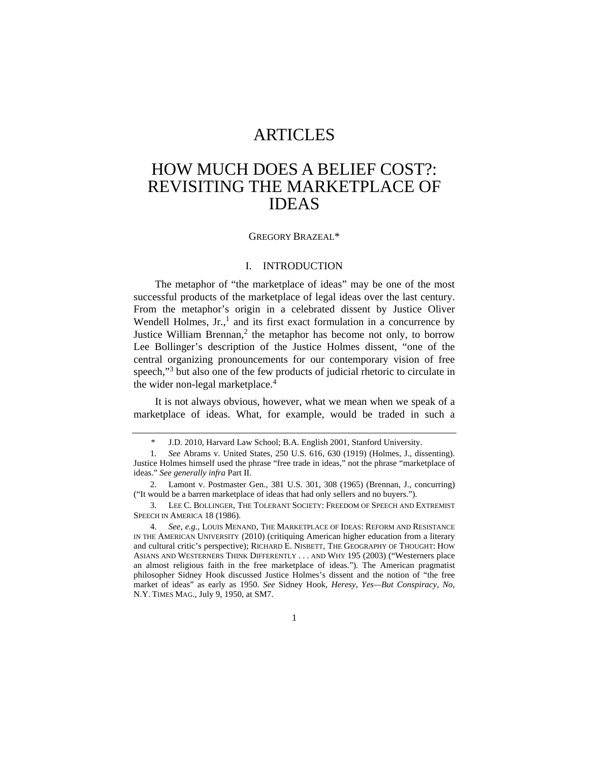# ARTICLES

# HOW MUCH DOES A BELIEF COST?: REVISITING THE MARKETPLACE OF IDEAS

#### GREGORY BRAZEAL\*

#### I. INTRODUCTION

The metaphor of "the marketplace of ideas" may be one of the most successful products of the marketplace of legal ideas over the last century. From the metaphor's origin in a celebrated dissent by Justice Oliver Wendell Holmes,  $Jr$ , and its first exact formulation in a concurrence by Justice William Brennan,<sup>2</sup> the metaphor has become not only, to borrow Lee Bollinger's description of the Justice Holmes dissent, "one of the central organizing pronouncements for our contemporary vision of free speech,"<sup>3</sup> but also one of the few products of judicial rhetoric to circulate in the wider non-legal marketplace.<sup>4</sup>

It is not always obvious, however, what we mean when we speak of a marketplace of ideas. What, for example, would be traded in such a

 4. *See, e.g.*, LOUIS MENAND, THE MARKETPLACE OF IDEAS: REFORM AND RESISTANCE IN THE AMERICAN UNIVERSITY (2010) (critiquing American higher education from a literary and cultural critic's perspective); RICHARD E. NISBETT, THE GEOGRAPHY OF THOUGHT: HOW ASIANS AND WESTERNERS THINK DIFFERENTLY . . . AND WHY 195 (2003) ("Westerners place an almost religious faith in the free marketplace of ideas."). The American pragmatist philosopher Sidney Hook discussed Justice Holmes's dissent and the notion of "the free market of ideas" as early as 1950. *See* Sidney Hook, *Heresy, Yes—But Conspiracy, No*, N.Y. TIMES MAG., July 9, 1950, at SM7.

<sup>\*</sup> J.D. 2010, Harvard Law School; B.A. English 2001, Stanford University.

 <sup>1.</sup> *See* Abrams v. United States, 250 U.S. 616, 630 (1919) (Holmes, J., dissenting). Justice Holmes himself used the phrase "free trade in ideas," not the phrase "marketplace of ideas." *See generally infra* Part II.

 <sup>2.</sup> Lamont v. Postmaster Gen., 381 U.S. 301, 308 (1965) (Brennan, J., concurring) ("It would be a barren marketplace of ideas that had only sellers and no buyers.").

 <sup>3.</sup> LEE C. BOLLINGER, THE TOLERANT SOCIETY: FREEDOM OF SPEECH AND EXTREMIST SPEECH IN AMERICA 18 (1986).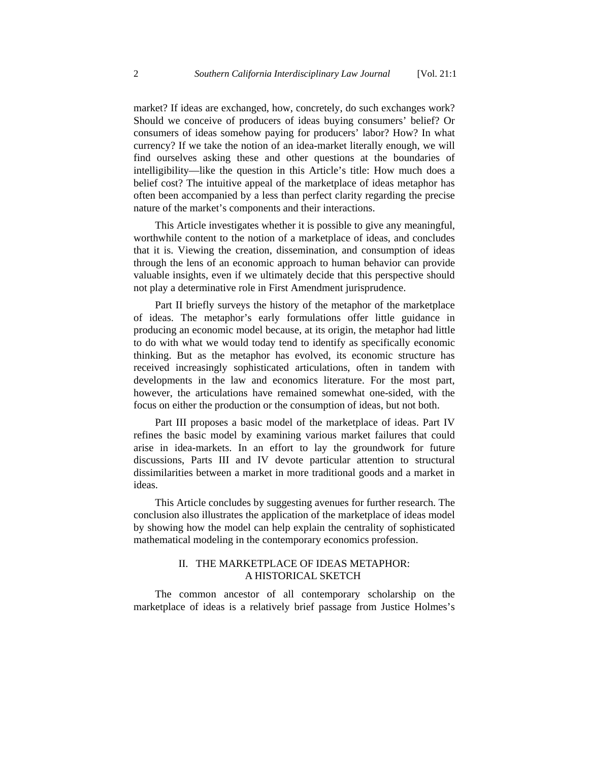market? If ideas are exchanged, how, concretely, do such exchanges work? Should we conceive of producers of ideas buying consumers' belief? Or consumers of ideas somehow paying for producers' labor? How? In what currency? If we take the notion of an idea-market literally enough, we will find ourselves asking these and other questions at the boundaries of intelligibility—like the question in this Article's title: How much does a belief cost? The intuitive appeal of the marketplace of ideas metaphor has often been accompanied by a less than perfect clarity regarding the precise nature of the market's components and their interactions.

This Article investigates whether it is possible to give any meaningful, worthwhile content to the notion of a marketplace of ideas, and concludes that it is. Viewing the creation, dissemination, and consumption of ideas through the lens of an economic approach to human behavior can provide valuable insights, even if we ultimately decide that this perspective should not play a determinative role in First Amendment jurisprudence.

Part II briefly surveys the history of the metaphor of the marketplace of ideas. The metaphor's early formulations offer little guidance in producing an economic model because, at its origin, the metaphor had little to do with what we would today tend to identify as specifically economic thinking. But as the metaphor has evolved, its economic structure has received increasingly sophisticated articulations, often in tandem with developments in the law and economics literature. For the most part, however, the articulations have remained somewhat one-sided, with the focus on either the production or the consumption of ideas, but not both.

Part III proposes a basic model of the marketplace of ideas. Part IV refines the basic model by examining various market failures that could arise in idea-markets. In an effort to lay the groundwork for future discussions, Parts III and IV devote particular attention to structural dissimilarities between a market in more traditional goods and a market in ideas.

This Article concludes by suggesting avenues for further research. The conclusion also illustrates the application of the marketplace of ideas model by showing how the model can help explain the centrality of sophisticated mathematical modeling in the contemporary economics profession.

# II. THE MARKETPLACE OF IDEAS METAPHOR: A HISTORICAL SKETCH

The common ancestor of all contemporary scholarship on the marketplace of ideas is a relatively brief passage from Justice Holmes's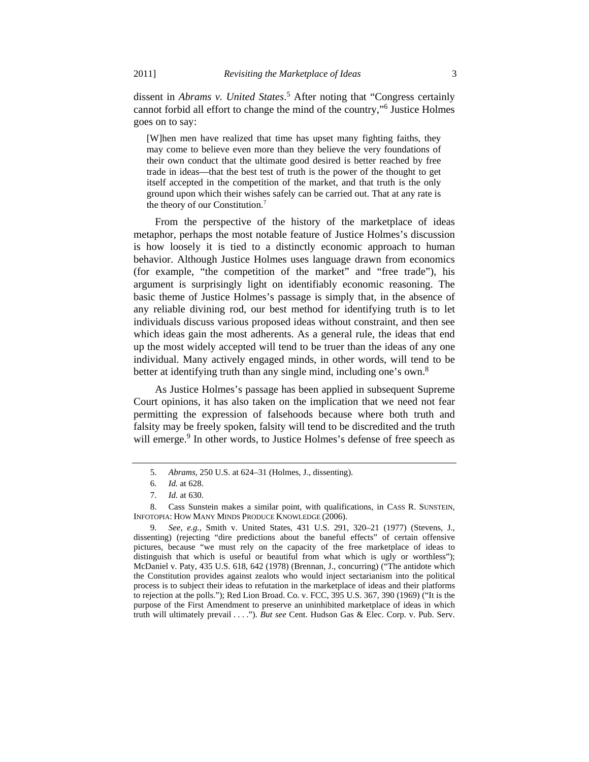dissent in *Abrams v. United States*. 5 After noting that "Congress certainly cannot forbid all effort to change the mind of the country,"6 Justice Holmes goes on to say:

[W]hen men have realized that time has upset many fighting faiths, they may come to believe even more than they believe the very foundations of their own conduct that the ultimate good desired is better reached by free trade in ideas—that the best test of truth is the power of the thought to get itself accepted in the competition of the market, and that truth is the only ground upon which their wishes safely can be carried out. That at any rate is the theory of our Constitution.7

From the perspective of the history of the marketplace of ideas metaphor, perhaps the most notable feature of Justice Holmes's discussion is how loosely it is tied to a distinctly economic approach to human behavior. Although Justice Holmes uses language drawn from economics (for example, "the competition of the market" and "free trade"), his argument is surprisingly light on identifiably economic reasoning. The basic theme of Justice Holmes's passage is simply that, in the absence of any reliable divining rod, our best method for identifying truth is to let individuals discuss various proposed ideas without constraint, and then see which ideas gain the most adherents. As a general rule, the ideas that end up the most widely accepted will tend to be truer than the ideas of any one individual. Many actively engaged minds, in other words, will tend to be better at identifying truth than any single mind, including one's own.8

As Justice Holmes's passage has been applied in subsequent Supreme Court opinions, it has also taken on the implication that we need not fear permitting the expression of falsehoods because where both truth and falsity may be freely spoken, falsity will tend to be discredited and the truth will emerge.<sup>9</sup> In other words, to Justice Holmes's defense of free speech as

 <sup>5.</sup> *Abrams*, 250 U.S. at 624–31 (Holmes, J., dissenting).

 <sup>6.</sup> *Id.* at 628.

 <sup>7.</sup> *Id.* at 630.

 <sup>8.</sup> Cass Sunstein makes a similar point, with qualifications, in CASS R. SUNSTEIN, INFOTOPIA: HOW MANY MINDS PRODUCE KNOWLEDGE (2006).

 <sup>9.</sup> *See, e.g.*, Smith v. United States, 431 U.S. 291, 320–21 (1977) (Stevens, J., dissenting) (rejecting "dire predictions about the baneful effects" of certain offensive pictures, because "we must rely on the capacity of the free marketplace of ideas to distinguish that which is useful or beautiful from what which is ugly or worthless"); McDaniel v. Paty, 435 U.S. 618, 642 (1978) (Brennan, J., concurring) ("The antidote which the Constitution provides against zealots who would inject sectarianism into the political process is to subject their ideas to refutation in the marketplace of ideas and their platforms to rejection at the polls."); Red Lion Broad. Co. v. FCC, 395 U.S. 367, 390 (1969) ("It is the purpose of the First Amendment to preserve an uninhibited marketplace of ideas in which truth will ultimately prevail . . . ."). *But see* Cent. Hudson Gas & Elec. Corp. v. Pub. Serv.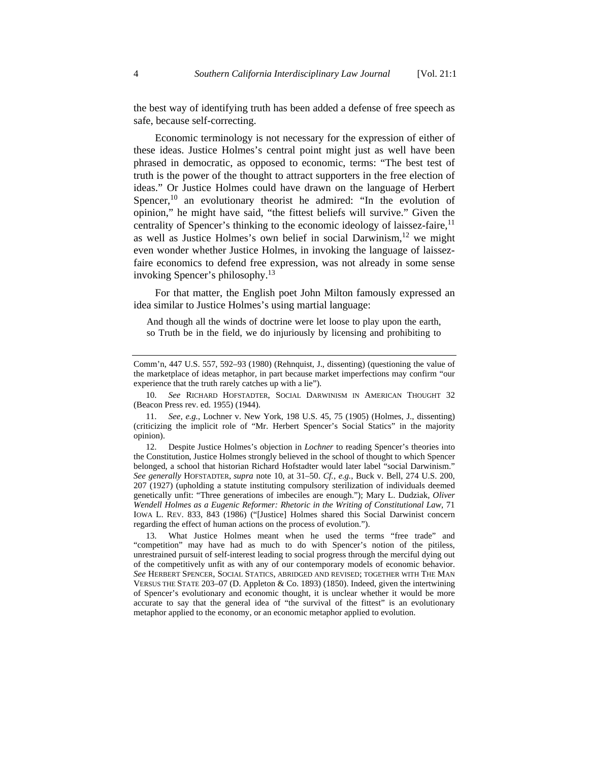the best way of identifying truth has been added a defense of free speech as safe, because self-correcting.

Economic terminology is not necessary for the expression of either of these ideas. Justice Holmes's central point might just as well have been phrased in democratic, as opposed to economic, terms: "The best test of truth is the power of the thought to attract supporters in the free election of ideas." Or Justice Holmes could have drawn on the language of Herbert Spencer,  $10$  an evolutionary theorist he admired: "In the evolution of opinion," he might have said, "the fittest beliefs will survive." Given the centrality of Spencer's thinking to the economic ideology of laissez-faire,  $11$ as well as Justice Holmes's own belief in social Darwinism, $12$  we might even wonder whether Justice Holmes, in invoking the language of laissezfaire economics to defend free expression, was not already in some sense invoking Spencer's philosophy.13

For that matter, the English poet John Milton famously expressed an idea similar to Justice Holmes's using martial language:

And though all the winds of doctrine were let loose to play upon the earth, so Truth be in the field, we do injuriously by licensing and prohibiting to

 12. Despite Justice Holmes's objection in *Lochner* to reading Spencer's theories into the Constitution, Justice Holmes strongly believed in the school of thought to which Spencer belonged, a school that historian Richard Hofstadter would later label "social Darwinism." *See generally* HOFSTADTER, *supra* note 10, at 31–50. *Cf., e.g.*, Buck v. Bell, 274 U.S. 200, 207 (1927) (upholding a statute instituting compulsory sterilization of individuals deemed genetically unfit: "Three generations of imbeciles are enough."); Mary L. Dudziak, *Oliver Wendell Holmes as a Eugenic Reformer: Rhetoric in the Writing of Constitutional Law*, 71 IOWA L. REV. 833, 843 (1986) ("[Justice] Holmes shared this Social Darwinist concern regarding the effect of human actions on the process of evolution.").

 13. What Justice Holmes meant when he used the terms "free trade" and "competition" may have had as much to do with Spencer's notion of the pitiless, unrestrained pursuit of self-interest leading to social progress through the merciful dying out of the competitively unfit as with any of our contemporary models of economic behavior. *See* HERBERT SPENCER, SOCIAL STATICS, ABRIDGED AND REVISED; TOGETHER WITH THE MAN VERSUS THE STATE 203–07 (D. Appleton & Co. 1893) (1850). Indeed, given the intertwining of Spencer's evolutionary and economic thought, it is unclear whether it would be more accurate to say that the general idea of "the survival of the fittest" is an evolutionary metaphor applied to the economy, or an economic metaphor applied to evolution.

Comm'n, 447 U.S. 557, 592–93 (1980) (Rehnquist, J., dissenting) (questioning the value of the marketplace of ideas metaphor, in part because market imperfections may confirm "our experience that the truth rarely catches up with a lie").

 <sup>10.</sup> *See* RICHARD HOFSTADTER, SOCIAL DARWINISM IN AMERICAN THOUGHT 32 (Beacon Press rev. ed. 1955) (1944).

 <sup>11.</sup> *See, e.g.*, Lochner v. New York, 198 U.S. 45, 75 (1905) (Holmes, J., dissenting) (criticizing the implicit role of "Mr. Herbert Spencer's Social Statics" in the majority opinion).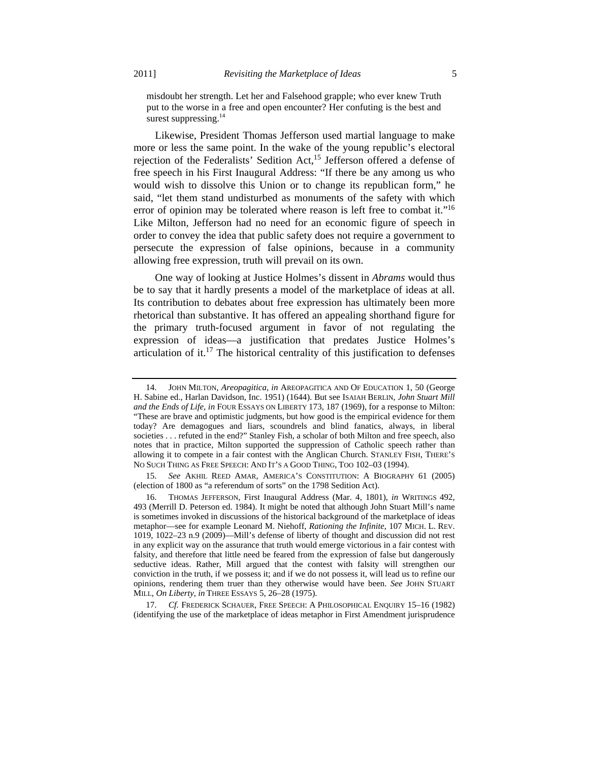misdoubt her strength. Let her and Falsehood grapple; who ever knew Truth put to the worse in a free and open encounter? Her confuting is the best and surest suppressing.<sup>14</sup>

Likewise, President Thomas Jefferson used martial language to make more or less the same point. In the wake of the young republic's electoral rejection of the Federalists' Sedition Act,<sup>15</sup> Jefferson offered a defense of free speech in his First Inaugural Address: "If there be any among us who would wish to dissolve this Union or to change its republican form," he said, "let them stand undisturbed as monuments of the safety with which error of opinion may be tolerated where reason is left free to combat it."<sup>16</sup> Like Milton, Jefferson had no need for an economic figure of speech in order to convey the idea that public safety does not require a government to persecute the expression of false opinions, because in a community allowing free expression, truth will prevail on its own.

One way of looking at Justice Holmes's dissent in *Abrams* would thus be to say that it hardly presents a model of the marketplace of ideas at all. Its contribution to debates about free expression has ultimately been more rhetorical than substantive. It has offered an appealing shorthand figure for the primary truth-focused argument in favor of not regulating the expression of ideas—a justification that predates Justice Holmes's articulation of it.<sup>17</sup> The historical centrality of this justification to defenses

 17. *Cf.* FREDERICK SCHAUER, FREE SPEECH: A PHILOSOPHICAL ENQUIRY 15–16 (1982) (identifying the use of the marketplace of ideas metaphor in First Amendment jurisprudence

 <sup>14.</sup> JOHN MILTON, *Areopagitica*, *in* AREOPAGITICA AND OF EDUCATION 1, 50 (George H. Sabine ed., Harlan Davidson, Inc. 1951) (1644). But see ISAIAH BERLIN, *John Stuart Mill and the Ends of Life*, *in* FOUR ESSAYS ON LIBERTY 173, 187 (1969), for a response to Milton: "These are brave and optimistic judgments, but how good is the empirical evidence for them today? Are demagogues and liars, scoundrels and blind fanatics, always, in liberal societies . . . refuted in the end?" Stanley Fish, a scholar of both Milton and free speech, also notes that in practice, Milton supported the suppression of Catholic speech rather than allowing it to compete in a fair contest with the Anglican Church. STANLEY FISH, THERE'S NO SUCH THING AS FREE SPEECH: AND IT'S A GOOD THING, TOO 102–03 (1994).

 <sup>15.</sup> *See* AKHIL REED AMAR, AMERICA'S CONSTITUTION: A BIOGRAPHY 61 (2005) (election of 1800 as "a referendum of sorts" on the 1798 Sedition Act).

 <sup>16.</sup> THOMAS JEFFERSON, First Inaugural Address (Mar. 4, 1801), *in* WRITINGS 492, 493 (Merrill D. Peterson ed. 1984). It might be noted that although John Stuart Mill's name is sometimes invoked in discussions of the historical background of the marketplace of ideas metaphor—see for example Leonard M. Niehoff, *Rationing the Infinite*, 107 MICH. L. REV. 1019, 1022–23 n.9 (2009)—Mill's defense of liberty of thought and discussion did not rest in any explicit way on the assurance that truth would emerge victorious in a fair contest with falsity, and therefore that little need be feared from the expression of false but dangerously seductive ideas. Rather, Mill argued that the contest with falsity will strengthen our conviction in the truth, if we possess it; and if we do not possess it, will lead us to refine our opinions, rendering them truer than they otherwise would have been. *See* JOHN STUART MILL, *On Liberty*, *in* THREE ESSAYS 5, 26–28 (1975).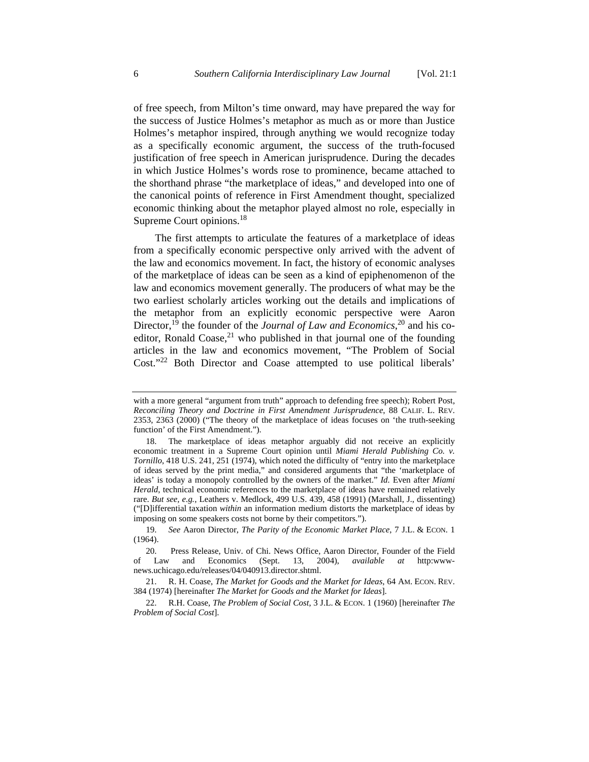of free speech, from Milton's time onward, may have prepared the way for the success of Justice Holmes's metaphor as much as or more than Justice Holmes's metaphor inspired, through anything we would recognize today as a specifically economic argument, the success of the truth-focused justification of free speech in American jurisprudence. During the decades in which Justice Holmes's words rose to prominence, became attached to the shorthand phrase "the marketplace of ideas," and developed into one of the canonical points of reference in First Amendment thought, specialized economic thinking about the metaphor played almost no role, especially in Supreme Court opinions.<sup>18</sup>

The first attempts to articulate the features of a marketplace of ideas from a specifically economic perspective only arrived with the advent of the law and economics movement. In fact, the history of economic analyses of the marketplace of ideas can be seen as a kind of epiphenomenon of the law and economics movement generally. The producers of what may be the two earliest scholarly articles working out the details and implications of the metaphor from an explicitly economic perspective were Aaron Director,<sup>19</sup> the founder of the *Journal of Law and Economics*,<sup>20</sup> and his coeditor, Ronald Coase,<sup>21</sup> who published in that journal one of the founding articles in the law and economics movement, "The Problem of Social Cost."<sup>22</sup> Both Director and Coase attempted to use political liberals'

with a more general "argument from truth" approach to defending free speech); Robert Post, *Reconciling Theory and Doctrine in First Amendment Jurisprudence*, 88 CALIF. L. REV. 2353, 2363 (2000) ("The theory of the marketplace of ideas focuses on 'the truth-seeking function' of the First Amendment.").

 <sup>18.</sup> The marketplace of ideas metaphor arguably did not receive an explicitly economic treatment in a Supreme Court opinion until *Miami Herald Publishing Co. v. Tornillo*, 418 U.S. 241, 251 (1974), which noted the difficulty of "entry into the marketplace of ideas served by the print media," and considered arguments that "the 'marketplace of ideas' is today a monopoly controlled by the owners of the market." *Id.* Even after *Miami Herald*, technical economic references to the marketplace of ideas have remained relatively rare. *But see, e.g.*, Leathers v. Medlock, 499 U.S. 439, 458 (1991) (Marshall, J., dissenting) ("[D]ifferential taxation *within* an information medium distorts the marketplace of ideas by imposing on some speakers costs not borne by their competitors.").

 <sup>19.</sup> *See* Aaron Director, *The Parity of the Economic Market Place*, 7 J.L. & ECON. 1 (1964).

 <sup>20.</sup> Press Release, Univ. of Chi. News Office, Aaron Director, Founder of the Field of Law and Economics (Sept. 13, 2004), *available at* http:wwwnews.uchicago.edu/releases/04/040913.director.shtml.

 <sup>21.</sup> R. H. Coase, *The Market for Goods and the Market for Ideas*, 64 AM. ECON. REV. 384 (1974) [hereinafter *The Market for Goods and the Market for Ideas*].

 <sup>22.</sup> R.H. Coase, *The Problem of Social Cost*, 3 J.L. & ECON. 1 (1960) [hereinafter *The Problem of Social Cost*].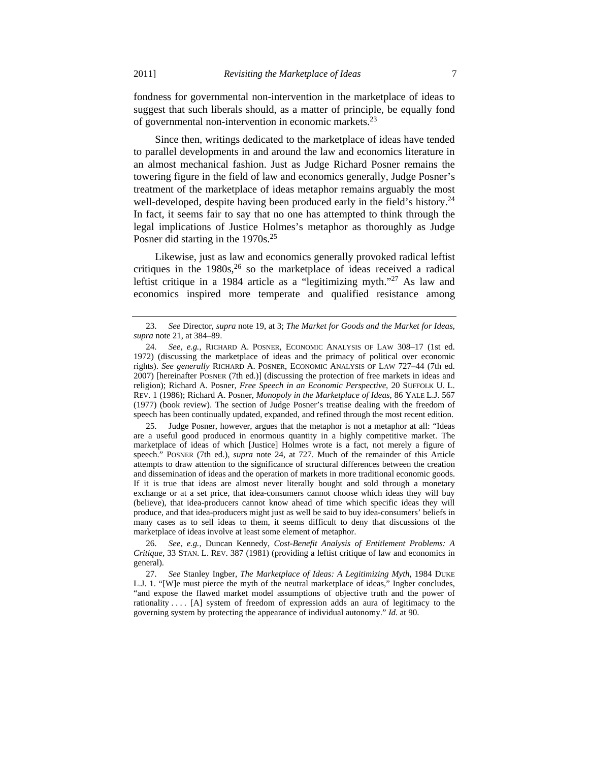fondness for governmental non-intervention in the marketplace of ideas to suggest that such liberals should, as a matter of principle, be equally fond of governmental non-intervention in economic markets.<sup>23</sup>

Since then, writings dedicated to the marketplace of ideas have tended to parallel developments in and around the law and economics literature in an almost mechanical fashion. Just as Judge Richard Posner remains the towering figure in the field of law and economics generally, Judge Posner's treatment of the marketplace of ideas metaphor remains arguably the most well-developed, despite having been produced early in the field's history.<sup>24</sup> In fact, it seems fair to say that no one has attempted to think through the legal implications of Justice Holmes's metaphor as thoroughly as Judge Posner did starting in the 1970s.<sup>25</sup>

Likewise, just as law and economics generally provoked radical leftist critiques in the 1980s,<sup>26</sup> so the marketplace of ideas received a radical leftist critique in a 1984 article as a "legitimizing myth."<sup>27</sup> As law and economics inspired more temperate and qualified resistance among

 <sup>23.</sup> *See* Director, *supra* note 19, at 3; *The Market for Goods and the Market for Ideas*, *supra* note 21, at 384–89.

 <sup>24.</sup> *See, e.g.*, RICHARD A. POSNER, ECONOMIC ANALYSIS OF LAW 308–17 (1st ed. 1972) (discussing the marketplace of ideas and the primacy of political over economic rights). *See generally* RICHARD A. POSNER, ECONOMIC ANALYSIS OF LAW 727–44 (7th ed. 2007) [hereinafter POSNER (7th ed.)] (discussing the protection of free markets in ideas and religion); Richard A. Posner, *Free Speech in an Economic Perspective*, 20 SUFFOLK U. L. REV. 1 (1986); Richard A. Posner, *Monopoly in the Marketplace of Ideas*, 86 YALE L.J. 567 (1977) (book review). The section of Judge Posner's treatise dealing with the freedom of speech has been continually updated, expanded, and refined through the most recent edition.

 <sup>25.</sup> Judge Posner, however, argues that the metaphor is not a metaphor at all: "Ideas are a useful good produced in enormous quantity in a highly competitive market. The marketplace of ideas of which [Justice] Holmes wrote is a fact, not merely a figure of speech." POSNER (7th ed.), *supra* note 24, at 727. Much of the remainder of this Article attempts to draw attention to the significance of structural differences between the creation and dissemination of ideas and the operation of markets in more traditional economic goods. If it is true that ideas are almost never literally bought and sold through a monetary exchange or at a set price, that idea-consumers cannot choose which ideas they will buy (believe), that idea-producers cannot know ahead of time which specific ideas they will produce, and that idea-producers might just as well be said to buy idea-consumers' beliefs in many cases as to sell ideas to them, it seems difficult to deny that discussions of the marketplace of ideas involve at least some element of metaphor.

 <sup>26.</sup> *See, e.g.*, Duncan Kennedy, *Cost-Benefit Analysis of Entitlement Problems: A Critique*, 33 STAN. L. REV. 387 (1981) (providing a leftist critique of law and economics in general).

 <sup>27.</sup> *See* Stanley Ingber, *The Marketplace of Ideas: A Legitimizing Myth*, 1984 DUKE L.J. 1. "[W]e must pierce the myth of the neutral marketplace of ideas," Ingber concludes, "and expose the flawed market model assumptions of objective truth and the power of rationality . . . . [A] system of freedom of expression adds an aura of legitimacy to the governing system by protecting the appearance of individual autonomy." *Id.* at 90.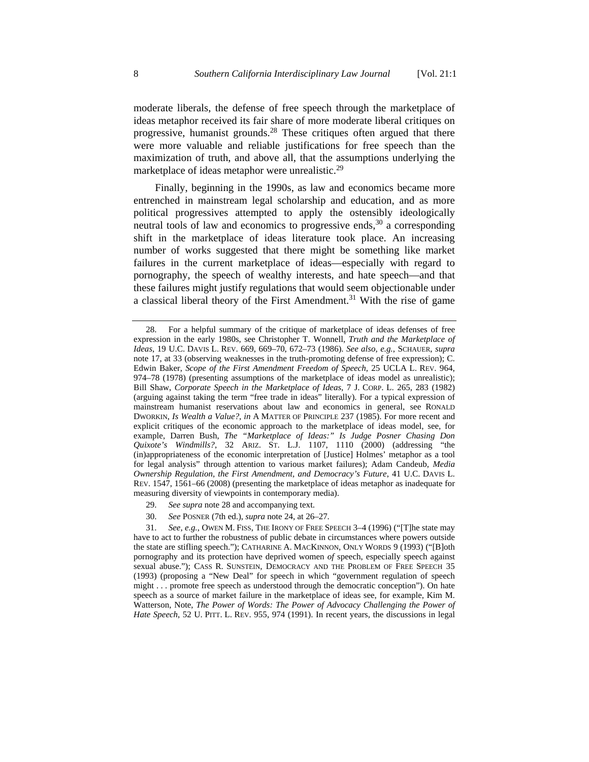moderate liberals, the defense of free speech through the marketplace of ideas metaphor received its fair share of more moderate liberal critiques on progressive, humanist grounds.<sup>28</sup> These critiques often argued that there were more valuable and reliable justifications for free speech than the maximization of truth, and above all, that the assumptions underlying the marketplace of ideas metaphor were unrealistic.<sup>29</sup>

Finally, beginning in the 1990s, as law and economics became more entrenched in mainstream legal scholarship and education, and as more political progressives attempted to apply the ostensibly ideologically neutral tools of law and economics to progressive ends,  $30$  a corresponding shift in the marketplace of ideas literature took place. An increasing number of works suggested that there might be something like market failures in the current marketplace of ideas—especially with regard to pornography, the speech of wealthy interests, and hate speech—and that these failures might justify regulations that would seem objectionable under a classical liberal theory of the First Amendment.<sup>31</sup> With the rise of game

- 29. *See supra* note 28 and accompanying text.
- 30. *See* POSNER (7th ed.), *supra* note 24, at 26–27.

 <sup>28.</sup> For a helpful summary of the critique of marketplace of ideas defenses of free expression in the early 1980s, see Christopher T. Wonnell, *Truth and the Marketplace of Ideas*, 19 U.C. DAVIS L. REV. 669, 669–70, 672–73 (1986). *See also, e.g.*, SCHAUER, *supra*  note 17, at 33 (observing weaknesses in the truth-promoting defense of free expression); C. Edwin Baker, *Scope of the First Amendment Freedom of Speech*, 25 UCLA L. REV. 964, 974–78 (1978) (presenting assumptions of the marketplace of ideas model as unrealistic); Bill Shaw, *Corporate Speech in the Marketplace of Ideas*, 7 J. CORP. L. 265, 283 (1982) (arguing against taking the term "free trade in ideas" literally). For a typical expression of mainstream humanist reservations about law and economics in general, see RONALD DWORKIN, *Is Wealth a Value?*, *in* A MATTER OF PRINCIPLE 237 (1985). For more recent and explicit critiques of the economic approach to the marketplace of ideas model, see, for example, Darren Bush, *The "Marketplace of Ideas:" Is Judge Posner Chasing Don Quixote's Windmills?*, 32 ARIZ. ST. L.J. 1107, 1110 (2000) (addressing "the (in)appropriateness of the economic interpretation of [Justice] Holmes' metaphor as a tool for legal analysis" through attention to various market failures); Adam Candeub, *Media Ownership Regulation, the First Amendment, and Democracy's Future*, 41 U.C. DAVIS L. REV. 1547, 1561–66 (2008) (presenting the marketplace of ideas metaphor as inadequate for measuring diversity of viewpoints in contemporary media).

 <sup>31.</sup> *See, e.g.*, OWEN M. FISS, THE IRONY OF FREE SPEECH 3–4 (1996) ("[T]he state may have to act to further the robustness of public debate in circumstances where powers outside the state are stifling speech."); CATHARINE A. MACKINNON, ONLY WORDS 9 (1993) ("[B]oth pornography and its protection have deprived women *of* speech, especially speech against sexual abuse."); CASS R. SUNSTEIN, DEMOCRACY AND THE PROBLEM OF FREE SPEECH 35 (1993) (proposing a "New Deal" for speech in which "government regulation of speech might . . . promote free speech as understood through the democratic conception"). On hate speech as a source of market failure in the marketplace of ideas see, for example, Kim M. Watterson, Note, *The Power of Words: The Power of Advocacy Challenging the Power of Hate Speech*, 52 U. PITT. L. REV. 955, 974 (1991). In recent years, the discussions in legal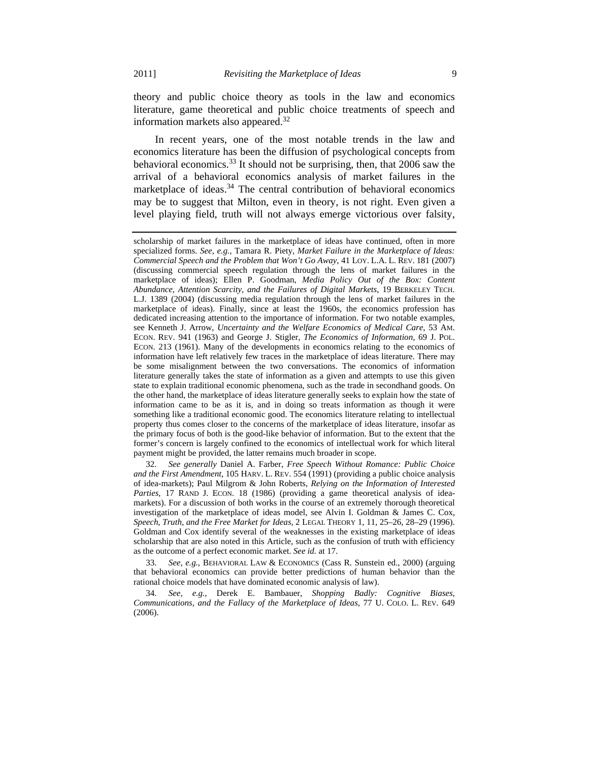theory and public choice theory as tools in the law and economics literature, game theoretical and public choice treatments of speech and information markets also appeared.<sup>32</sup>

In recent years, one of the most notable trends in the law and economics literature has been the diffusion of psychological concepts from behavioral economics.33 It should not be surprising, then, that 2006 saw the arrival of a behavioral economics analysis of market failures in the marketplace of ideas. $34$  The central contribution of behavioral economics may be to suggest that Milton, even in theory, is not right. Even given a level playing field, truth will not always emerge victorious over falsity,

 32. *See generally* Daniel A. Farber, *Free Speech Without Romance: Public Choice and the First Amendment*, 105 HARV. L. REV. 554 (1991) (providing a public choice analysis of idea-markets); Paul Milgrom & John Roberts, *Relying on the Information of Interested Parties*, 17 RAND J. ECON. 18 (1986) (providing a game theoretical analysis of ideamarkets). For a discussion of both works in the course of an extremely thorough theoretical investigation of the marketplace of ideas model, see Alvin I. Goldman & James C. Cox, *Speech, Truth, and the Free Market for Ideas*, 2 LEGAL THEORY 1, 11, 25–26, 28–29 (1996). Goldman and Cox identify several of the weaknesses in the existing marketplace of ideas scholarship that are also noted in this Article, such as the confusion of truth with efficiency as the outcome of a perfect economic market. *See id.* at 17.

 33. *See, e.g.*, BEHAVIORAL LAW & ECONOMICS (Cass R. Sunstein ed., 2000) (arguing that behavioral economics can provide better predictions of human behavior than the rational choice models that have dominated economic analysis of law).

 34. *See, e.g.*, Derek E. Bambauer, *Shopping Badly: Cognitive Biases, Communications, and the Fallacy of the Marketplace of Ideas*, 77 U. COLO. L. REV. 649  $(2006)$ .

scholarship of market failures in the marketplace of ideas have continued, often in more specialized forms. *See, e.g.*, Tamara R. Piety, *Market Failure in the Marketplace of Ideas: Commercial Speech and the Problem that Won't Go Away*, 41 LOY. L.A. L. REV. 181 (2007) (discussing commercial speech regulation through the lens of market failures in the marketplace of ideas); Ellen P. Goodman, *Media Policy Out of the Box: Content Abundance, Attention Scarcity, and the Failures of Digital Markets*, 19 BERKELEY TECH. L.J. 1389 (2004) (discussing media regulation through the lens of market failures in the marketplace of ideas). Finally, since at least the 1960s, the economics profession has dedicated increasing attention to the importance of information. For two notable examples, see Kenneth J. Arrow, *Uncertainty and the Welfare Economics of Medical Care*, 53 AM. ECON. REV. 941 (1963) and George J. Stigler, *The Economics of Information*, 69 J. POL. ECON. 213 (1961). Many of the developments in economics relating to the economics of information have left relatively few traces in the marketplace of ideas literature. There may be some misalignment between the two conversations. The economics of information literature generally takes the state of information as a given and attempts to use this given state to explain traditional economic phenomena, such as the trade in secondhand goods. On the other hand, the marketplace of ideas literature generally seeks to explain how the state of information came to be as it is, and in doing so treats information as though it were something like a traditional economic good. The economics literature relating to intellectual property thus comes closer to the concerns of the marketplace of ideas literature, insofar as the primary focus of both is the good-like behavior of information. But to the extent that the former's concern is largely confined to the economics of intellectual work for which literal payment might be provided, the latter remains much broader in scope.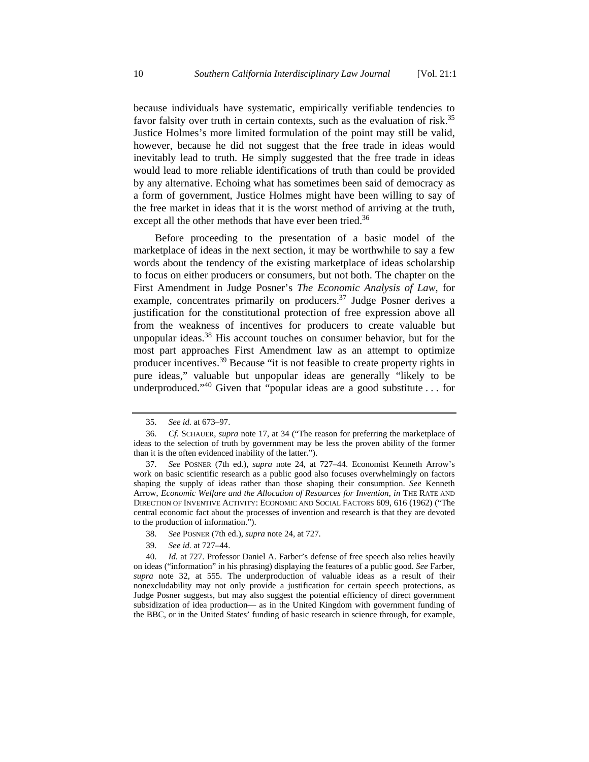because individuals have systematic, empirically verifiable tendencies to favor falsity over truth in certain contexts, such as the evaluation of risk.<sup>35</sup> Justice Holmes's more limited formulation of the point may still be valid, however, because he did not suggest that the free trade in ideas would inevitably lead to truth. He simply suggested that the free trade in ideas would lead to more reliable identifications of truth than could be provided by any alternative. Echoing what has sometimes been said of democracy as a form of government, Justice Holmes might have been willing to say of the free market in ideas that it is the worst method of arriving at the truth, except all the other methods that have ever been tried.<sup>36</sup>

Before proceeding to the presentation of a basic model of the marketplace of ideas in the next section, it may be worthwhile to say a few words about the tendency of the existing marketplace of ideas scholarship to focus on either producers or consumers, but not both. The chapter on the First Amendment in Judge Posner's *The Economic Analysis of Law*, for example, concentrates primarily on producers.<sup>37</sup> Judge Posner derives a justification for the constitutional protection of free expression above all from the weakness of incentives for producers to create valuable but unpopular ideas.<sup>38</sup> His account touches on consumer behavior, but for the most part approaches First Amendment law as an attempt to optimize producer incentives.39 Because "it is not feasible to create property rights in pure ideas," valuable but unpopular ideas are generally "likely to be underproduced."<sup>40</sup> Given that "popular ideas are a good substitute  $\dots$  for

 <sup>35.</sup> *See id.* at 673–97.

 <sup>36.</sup> *Cf.* SCHAUER, *supra* note 17, at 34 ("The reason for preferring the marketplace of ideas to the selection of truth by government may be less the proven ability of the former than it is the often evidenced inability of the latter.").

 <sup>37.</sup> *See* POSNER (7th ed.), *supra* note 24, at 727–44. Economist Kenneth Arrow's work on basic scientific research as a public good also focuses overwhelmingly on factors shaping the supply of ideas rather than those shaping their consumption. *See* Kenneth Arrow, *Economic Welfare and the Allocation of Resources for Invention*, *in* THE RATE AND DIRECTION OF INVENTIVE ACTIVITY: ECONOMIC AND SOCIAL FACTORS 609, 616 (1962) ("The central economic fact about the processes of invention and research is that they are devoted to the production of information.").

 <sup>38.</sup> *See* POSNER (7th ed.), *supra* note 24, at 727.

 <sup>39.</sup> *See id.* at 727–44.

 <sup>40.</sup> *Id.* at 727. Professor Daniel A. Farber's defense of free speech also relies heavily on ideas ("information" in his phrasing) displaying the features of a public good. *See* Farber, *supra* note 32, at 555. The underproduction of valuable ideas as a result of their nonexcludability may not only provide a justification for certain speech protections, as Judge Posner suggests, but may also suggest the potential efficiency of direct government subsidization of idea production— as in the United Kingdom with government funding of the BBC, or in the United States' funding of basic research in science through, for example,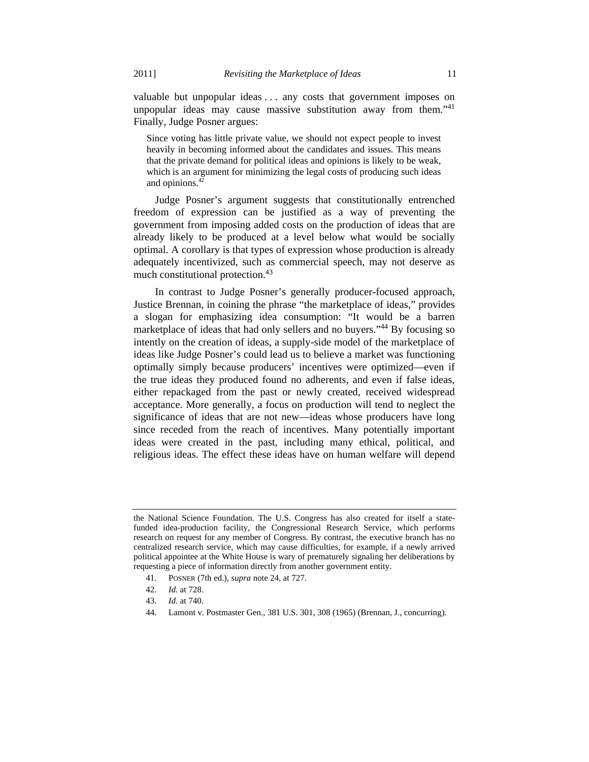valuable but unpopular ideas . . . any costs that government imposes on unpopular ideas may cause massive substitution away from them. $141$ Finally, Judge Posner argues:

Since voting has little private value, we should not expect people to invest heavily in becoming informed about the candidates and issues. This means that the private demand for political ideas and opinions is likely to be weak, which is an argument for minimizing the legal costs of producing such ideas and opinions.42

Judge Posner's argument suggests that constitutionally entrenched freedom of expression can be justified as a way of preventing the government from imposing added costs on the production of ideas that are already likely to be produced at a level below what would be socially optimal. A corollary is that types of expression whose production is already adequately incentivized, such as commercial speech, may not deserve as much constitutional protection.<sup>43</sup>

In contrast to Judge Posner's generally producer-focused approach, Justice Brennan, in coining the phrase "the marketplace of ideas," provides a slogan for emphasizing idea consumption: "It would be a barren marketplace of ideas that had only sellers and no buyers."44 By focusing so intently on the creation of ideas, a supply-side model of the marketplace of ideas like Judge Posner's could lead us to believe a market was functioning optimally simply because producers' incentives were optimized—even if the true ideas they produced found no adherents, and even if false ideas, either repackaged from the past or newly created, received widespread acceptance. More generally, a focus on production will tend to neglect the significance of ideas that are not new—ideas whose producers have long since receded from the reach of incentives. Many potentially important ideas were created in the past, including many ethical, political, and religious ideas. The effect these ideas have on human welfare will depend

the National Science Foundation. The U.S. Congress has also created for itself a statefunded idea-production facility, the Congressional Research Service, which performs research on request for any member of Congress. By contrast, the executive branch has no centralized research service, which may cause difficulties, for example, if a newly arrived political appointee at the White House is wary of prematurely signaling her deliberations by requesting a piece of information directly from another government entity.

 <sup>41.</sup> POSNER (7th ed.), *supra* note 24, at 727.

 <sup>42.</sup> *Id.* at 728.

 <sup>43.</sup> *Id.* at 740.

 <sup>44.</sup> Lamont v. Postmaster Gen., 381 U.S. 301, 308 (1965) (Brennan, J., concurring).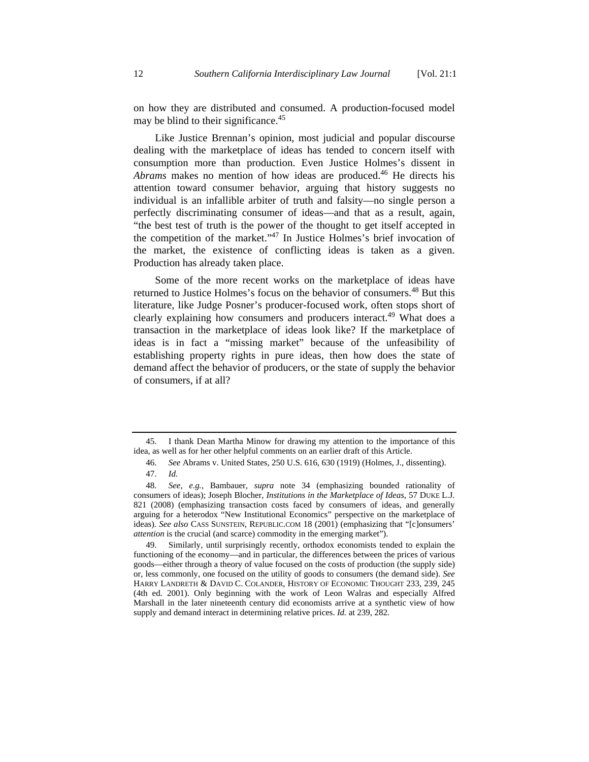on how they are distributed and consumed. A production-focused model may be blind to their significance.<sup>45</sup>

Like Justice Brennan's opinion, most judicial and popular discourse dealing with the marketplace of ideas has tended to concern itself with consumption more than production. Even Justice Holmes's dissent in *Abrams* makes no mention of how ideas are produced.46 He directs his attention toward consumer behavior, arguing that history suggests no individual is an infallible arbiter of truth and falsity—no single person a perfectly discriminating consumer of ideas—and that as a result, again, "the best test of truth is the power of the thought to get itself accepted in the competition of the market."47 In Justice Holmes's brief invocation of the market, the existence of conflicting ideas is taken as a given. Production has already taken place.

Some of the more recent works on the marketplace of ideas have returned to Justice Holmes's focus on the behavior of consumers.<sup>48</sup> But this literature, like Judge Posner's producer-focused work, often stops short of clearly explaining how consumers and producers interact.<sup>49</sup> What does a transaction in the marketplace of ideas look like? If the marketplace of ideas is in fact a "missing market" because of the unfeasibility of establishing property rights in pure ideas, then how does the state of demand affect the behavior of producers, or the state of supply the behavior of consumers, if at all?

I thank Dean Martha Minow for drawing my attention to the importance of this idea, as well as for her other helpful comments on an earlier draft of this Article.

 <sup>46.</sup> *See* Abrams v. United States, 250 U.S. 616, 630 (1919) (Holmes, J., dissenting). 47. *Id.*

 <sup>48.</sup> *See, e.g.*, Bambauer, *supra* note 34 (emphasizing bounded rationality of consumers of ideas); Joseph Blocher, *Institutions in the Marketplace of Ideas*, 57 DUKE L.J. 821 (2008) (emphasizing transaction costs faced by consumers of ideas, and generally arguing for a heterodox "New Institutional Economics" perspective on the marketplace of ideas). *See also* CASS SUNSTEIN, REPUBLIC.COM 18 (2001) (emphasizing that "[c]onsumers' *attention* is the crucial (and scarce) commodity in the emerging market").

 <sup>49.</sup> Similarly, until surprisingly recently, orthodox economists tended to explain the functioning of the economy—and in particular, the differences between the prices of various goods—either through a theory of value focused on the costs of production (the supply side) or, less commonly, one focused on the utility of goods to consumers (the demand side). *See*  HARRY LANDRETH & DAVID C. COLANDER, HISTORY OF ECONOMIC THOUGHT 233, 239, 245 (4th ed. 2001). Only beginning with the work of Leon Walras and especially Alfred Marshall in the later nineteenth century did economists arrive at a synthetic view of how supply and demand interact in determining relative prices. *Id.* at 239, 282.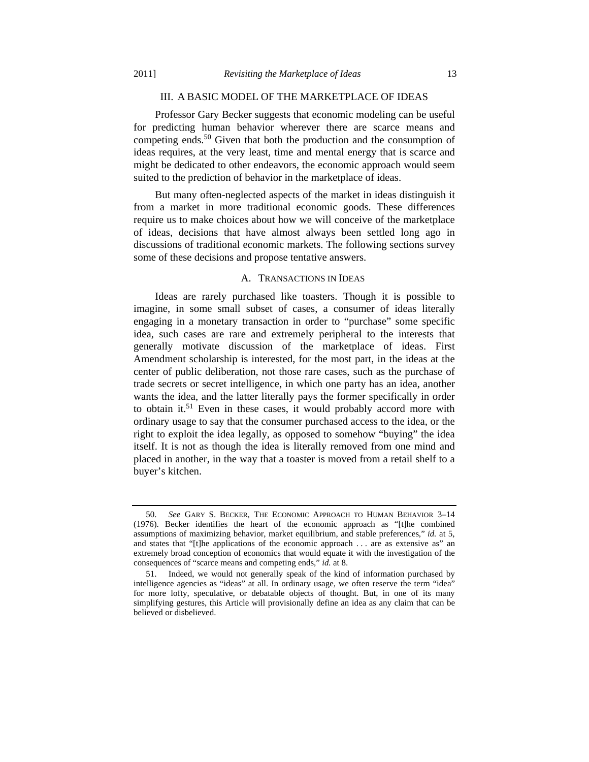#### III. A BASIC MODEL OF THE MARKETPLACE OF IDEAS

Professor Gary Becker suggests that economic modeling can be useful for predicting human behavior wherever there are scarce means and competing ends.50 Given that both the production and the consumption of ideas requires, at the very least, time and mental energy that is scarce and might be dedicated to other endeavors, the economic approach would seem suited to the prediction of behavior in the marketplace of ideas.

But many often-neglected aspects of the market in ideas distinguish it from a market in more traditional economic goods. These differences require us to make choices about how we will conceive of the marketplace of ideas, decisions that have almost always been settled long ago in discussions of traditional economic markets. The following sections survey some of these decisions and propose tentative answers.

## A. TRANSACTIONS IN IDEAS

Ideas are rarely purchased like toasters. Though it is possible to imagine, in some small subset of cases, a consumer of ideas literally engaging in a monetary transaction in order to "purchase" some specific idea, such cases are rare and extremely peripheral to the interests that generally motivate discussion of the marketplace of ideas. First Amendment scholarship is interested, for the most part, in the ideas at the center of public deliberation, not those rare cases, such as the purchase of trade secrets or secret intelligence, in which one party has an idea, another wants the idea, and the latter literally pays the former specifically in order to obtain it.<sup>51</sup> Even in these cases, it would probably accord more with ordinary usage to say that the consumer purchased access to the idea, or the right to exploit the idea legally, as opposed to somehow "buying" the idea itself. It is not as though the idea is literally removed from one mind and placed in another, in the way that a toaster is moved from a retail shelf to a buyer's kitchen.

 <sup>50.</sup> *See* GARY S. BECKER, THE ECONOMIC APPROACH TO HUMAN BEHAVIOR 3–14 (1976). Becker identifies the heart of the economic approach as "[t]he combined assumptions of maximizing behavior, market equilibrium, and stable preferences," *id.* at 5, and states that "[t]he applications of the economic approach . . . are as extensive as" an extremely broad conception of economics that would equate it with the investigation of the consequences of "scarce means and competing ends," *id.* at 8.

 <sup>51.</sup> Indeed, we would not generally speak of the kind of information purchased by intelligence agencies as "ideas" at all. In ordinary usage, we often reserve the term "idea" for more lofty, speculative, or debatable objects of thought. But, in one of its many simplifying gestures, this Article will provisionally define an idea as any claim that can be believed or disbelieved.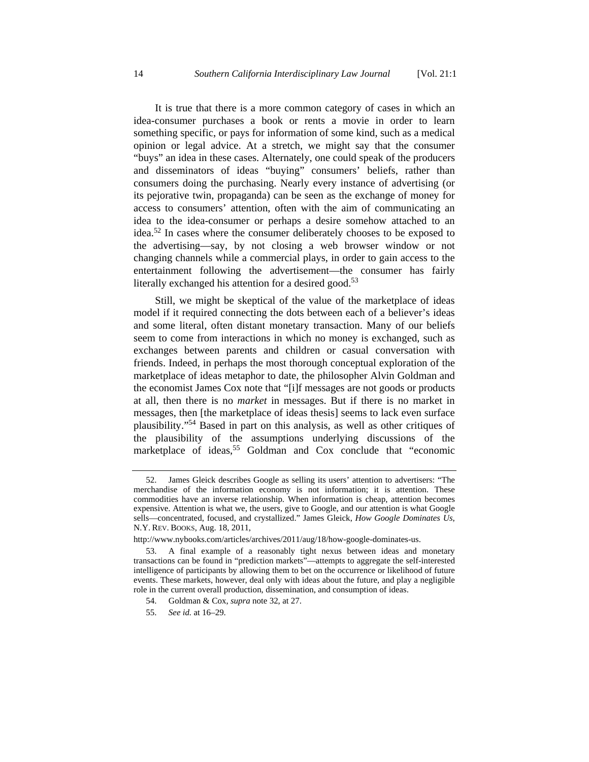It is true that there is a more common category of cases in which an idea-consumer purchases a book or rents a movie in order to learn something specific, or pays for information of some kind, such as a medical opinion or legal advice. At a stretch, we might say that the consumer "buys" an idea in these cases. Alternately, one could speak of the producers and disseminators of ideas "buying" consumers' beliefs, rather than consumers doing the purchasing. Nearly every instance of advertising (or its pejorative twin, propaganda) can be seen as the exchange of money for access to consumers' attention, often with the aim of communicating an idea to the idea-consumer or perhaps a desire somehow attached to an idea.52 In cases where the consumer deliberately chooses to be exposed to the advertising—say, by not closing a web browser window or not changing channels while a commercial plays, in order to gain access to the entertainment following the advertisement—the consumer has fairly literally exchanged his attention for a desired good.<sup>53</sup>

Still, we might be skeptical of the value of the marketplace of ideas model if it required connecting the dots between each of a believer's ideas and some literal, often distant monetary transaction. Many of our beliefs seem to come from interactions in which no money is exchanged, such as exchanges between parents and children or casual conversation with friends. Indeed, in perhaps the most thorough conceptual exploration of the marketplace of ideas metaphor to date, the philosopher Alvin Goldman and the economist James Cox note that "[i]f messages are not goods or products at all, then there is no *market* in messages. But if there is no market in messages, then [the marketplace of ideas thesis] seems to lack even surface plausibility."54 Based in part on this analysis, as well as other critiques of the plausibility of the assumptions underlying discussions of the marketplace of ideas,<sup>55</sup> Goldman and Cox conclude that "economic

 <sup>52.</sup> James Gleick describes Google as selling its users' attention to advertisers: "The merchandise of the information economy is not information; it is attention. These commodities have an inverse relationship. When information is cheap, attention becomes expensive. Attention is what we, the users, give to Google, and our attention is what Google sells—concentrated, focused, and crystallized." James Gleick, *How Google Dominates Us*, N.Y. REV. BOOKS, Aug. 18, 2011,

http://www.nybooks.com/articles/archives/2011/aug/18/how-google-dominates-us.

 <sup>53.</sup> A final example of a reasonably tight nexus between ideas and monetary transactions can be found in "prediction markets"—attempts to aggregate the self-interested intelligence of participants by allowing them to bet on the occurrence or likelihood of future events. These markets, however, deal only with ideas about the future, and play a negligible role in the current overall production, dissemination, and consumption of ideas.

 <sup>54.</sup> Goldman & Cox, *supra* note 32, at 27.

 <sup>55.</sup> *See id.* at 16–29.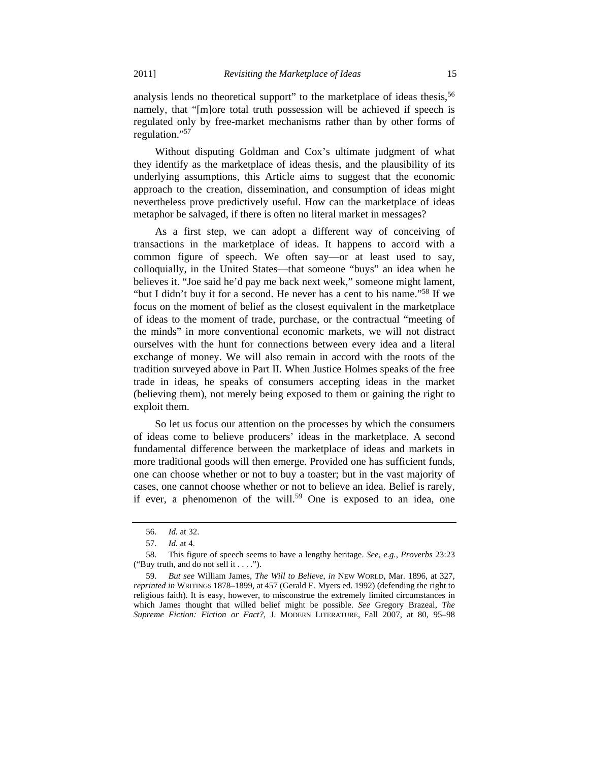analysis lends no theoretical support" to the marketplace of ideas thesis,<sup>56</sup> namely, that "[m]ore total truth possession will be achieved if speech is regulated only by free-market mechanisms rather than by other forms of regulation."57

Without disputing Goldman and Cox's ultimate judgment of what they identify as the marketplace of ideas thesis, and the plausibility of its underlying assumptions, this Article aims to suggest that the economic approach to the creation, dissemination, and consumption of ideas might nevertheless prove predictively useful. How can the marketplace of ideas metaphor be salvaged, if there is often no literal market in messages?

As a first step, we can adopt a different way of conceiving of transactions in the marketplace of ideas. It happens to accord with a common figure of speech. We often say—or at least used to say, colloquially, in the United States—that someone "buys" an idea when he believes it. "Joe said he'd pay me back next week," someone might lament, "but I didn't buy it for a second. He never has a cent to his name."58 If we focus on the moment of belief as the closest equivalent in the marketplace of ideas to the moment of trade, purchase, or the contractual "meeting of the minds" in more conventional economic markets, we will not distract ourselves with the hunt for connections between every idea and a literal exchange of money. We will also remain in accord with the roots of the tradition surveyed above in Part II. When Justice Holmes speaks of the free trade in ideas, he speaks of consumers accepting ideas in the market (believing them), not merely being exposed to them or gaining the right to exploit them.

So let us focus our attention on the processes by which the consumers of ideas come to believe producers' ideas in the marketplace. A second fundamental difference between the marketplace of ideas and markets in more traditional goods will then emerge. Provided one has sufficient funds, one can choose whether or not to buy a toaster; but in the vast majority of cases, one cannot choose whether or not to believe an idea. Belief is rarely, if ever, a phenomenon of the will.<sup>59</sup> One is exposed to an idea, one

 <sup>56.</sup> *Id.* at 32.

 <sup>57.</sup> *Id.* at 4.

 <sup>58.</sup> This figure of speech seems to have a lengthy heritage. *See, e.g.*, *Proverbs* 23:23 ("Buy truth, and do not sell it . . . .").

 <sup>59.</sup> *But see* William James, *The Will to Believe*, *in* NEW WORLD, Mar. 1896, at 327, *reprinted in* WRITINGS 1878–1899, at 457 (Gerald E. Myers ed. 1992) (defending the right to religious faith). It is easy, however, to misconstrue the extremely limited circumstances in which James thought that willed belief might be possible. *See* Gregory Brazeal, *The Supreme Fiction: Fiction or Fact?*, J. MODERN LITERATURE, Fall 2007, at 80, 95–98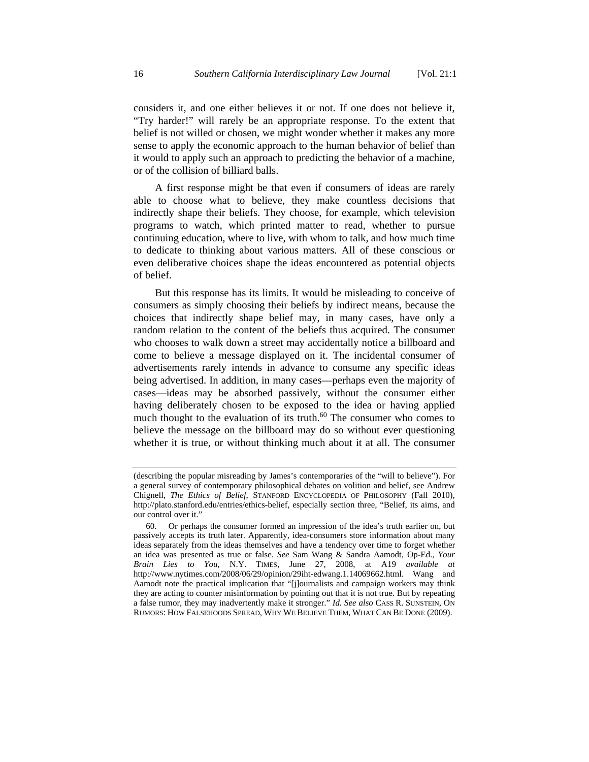considers it, and one either believes it or not. If one does not believe it, "Try harder!" will rarely be an appropriate response. To the extent that belief is not willed or chosen, we might wonder whether it makes any more sense to apply the economic approach to the human behavior of belief than it would to apply such an approach to predicting the behavior of a machine, or of the collision of billiard balls.

A first response might be that even if consumers of ideas are rarely able to choose what to believe, they make countless decisions that indirectly shape their beliefs. They choose, for example, which television programs to watch, which printed matter to read, whether to pursue continuing education, where to live, with whom to talk, and how much time to dedicate to thinking about various matters. All of these conscious or even deliberative choices shape the ideas encountered as potential objects of belief.

But this response has its limits. It would be misleading to conceive of consumers as simply choosing their beliefs by indirect means, because the choices that indirectly shape belief may, in many cases, have only a random relation to the content of the beliefs thus acquired. The consumer who chooses to walk down a street may accidentally notice a billboard and come to believe a message displayed on it. The incidental consumer of advertisements rarely intends in advance to consume any specific ideas being advertised. In addition, in many cases—perhaps even the majority of cases—ideas may be absorbed passively, without the consumer either having deliberately chosen to be exposed to the idea or having applied much thought to the evaluation of its truth. $60$  The consumer who comes to believe the message on the billboard may do so without ever questioning whether it is true, or without thinking much about it at all. The consumer

<sup>(</sup>describing the popular misreading by James's contemporaries of the "will to believe"). For a general survey of contemporary philosophical debates on volition and belief, see Andrew Chignell, *The Ethics of Belief*, STANFORD ENCYCLOPEDIA OF PHILOSOPHY (Fall 2010), http://plato.stanford.edu/entries/ethics-belief, especially section three, "Belief, its aims, and our control over it."

 <sup>60.</sup> Or perhaps the consumer formed an impression of the idea's truth earlier on, but passively accepts its truth later. Apparently, idea-consumers store information about many ideas separately from the ideas themselves and have a tendency over time to forget whether an idea was presented as true or false. *See* Sam Wang & Sandra Aamodt, Op-Ed., *Your Brain Lies to You*, N.Y. TIMES, June 27, 2008, at A19 *available at*  http://www.nytimes.com/2008/06/29/opinion/29iht-edwang.1.14069662.html. Wang and Aamodt note the practical implication that "[j]ournalists and campaign workers may think they are acting to counter misinformation by pointing out that it is not true. But by repeating a false rumor, they may inadvertently make it stronger." *Id. See also* CASS R. SUNSTEIN, ON RUMORS: HOW FALSEHOODS SPREAD, WHY WE BELIEVE THEM, WHAT CAN BE DONE (2009).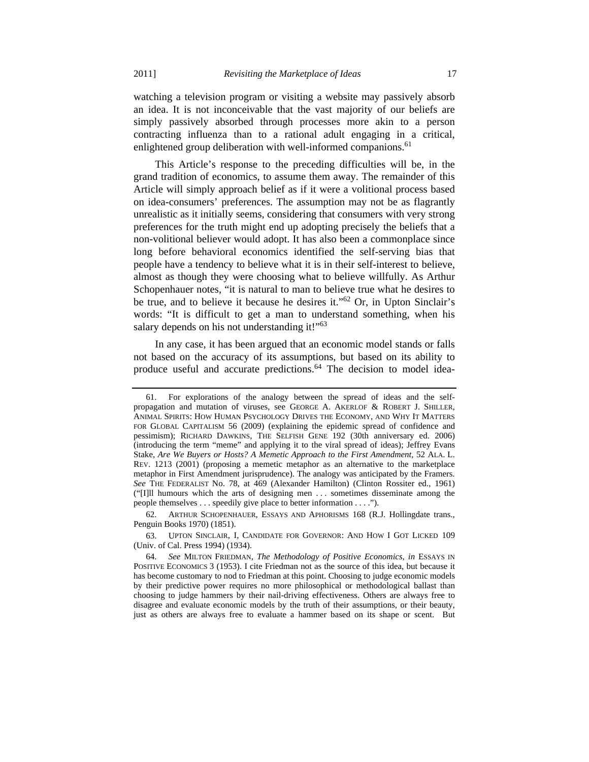watching a television program or visiting a website may passively absorb an idea. It is not inconceivable that the vast majority of our beliefs are simply passively absorbed through processes more akin to a person contracting influenza than to a rational adult engaging in a critical, enlightened group deliberation with well-informed companions.<sup>61</sup>

This Article's response to the preceding difficulties will be, in the grand tradition of economics, to assume them away. The remainder of this Article will simply approach belief as if it were a volitional process based on idea-consumers' preferences. The assumption may not be as flagrantly unrealistic as it initially seems, considering that consumers with very strong preferences for the truth might end up adopting precisely the beliefs that a non-volitional believer would adopt. It has also been a commonplace since long before behavioral economics identified the self-serving bias that people have a tendency to believe what it is in their self-interest to believe, almost as though they were choosing what to believe willfully. As Arthur Schopenhauer notes, "it is natural to man to believe true what he desires to be true, and to believe it because he desires it."62 Or, in Upton Sinclair's words: "It is difficult to get a man to understand something, when his salary depends on his not understanding it!"<sup>63</sup>

In any case, it has been argued that an economic model stands or falls not based on the accuracy of its assumptions, but based on its ability to produce useful and accurate predictions.<sup>64</sup> The decision to model idea-

 63. UPTON SINCLAIR, I, CANDIDATE FOR GOVERNOR: AND HOW I GOT LICKED 109 (Univ. of Cal. Press 1994) (1934).

 <sup>61.</sup> For explorations of the analogy between the spread of ideas and the selfpropagation and mutation of viruses, see GEORGE A. AKERLOF & ROBERT J. SHILLER, ANIMAL SPIRITS: HOW HUMAN PSYCHOLOGY DRIVES THE ECONOMY, AND WHY IT MATTERS FOR GLOBAL CAPITALISM 56 (2009) (explaining the epidemic spread of confidence and pessimism); RICHARD DAWKINS, THE SELFISH GENE 192 (30th anniversary ed. 2006) (introducing the term "meme" and applying it to the viral spread of ideas); Jeffrey Evans Stake, *Are We Buyers or Hosts? A Memetic Approach to the First Amendment*, 52 ALA. L. REV. 1213 (2001) (proposing a memetic metaphor as an alternative to the marketplace metaphor in First Amendment jurisprudence). The analogy was anticipated by the Framers. *See* THE FEDERALIST No. 78, at 469 (Alexander Hamilton) (Clinton Rossiter ed., 1961) ("[I]ll humours which the arts of designing men . . . sometimes disseminate among the people themselves . . . speedily give place to better information . . . .").

 <sup>62.</sup> ARTHUR SCHOPENHAUER, ESSAYS AND APHORISMS 168 (R.J. Hollingdate trans., Penguin Books 1970) (1851).

 <sup>64.</sup> *See* MILTON FRIEDMAN, *The Methodology of Positive Economics*, *in* ESSAYS IN POSITIVE ECONOMICS 3 (1953). I cite Friedman not as the source of this idea, but because it has become customary to nod to Friedman at this point. Choosing to judge economic models by their predictive power requires no more philosophical or methodological ballast than choosing to judge hammers by their nail-driving effectiveness. Others are always free to disagree and evaluate economic models by the truth of their assumptions, or their beauty, just as others are always free to evaluate a hammer based on its shape or scent. But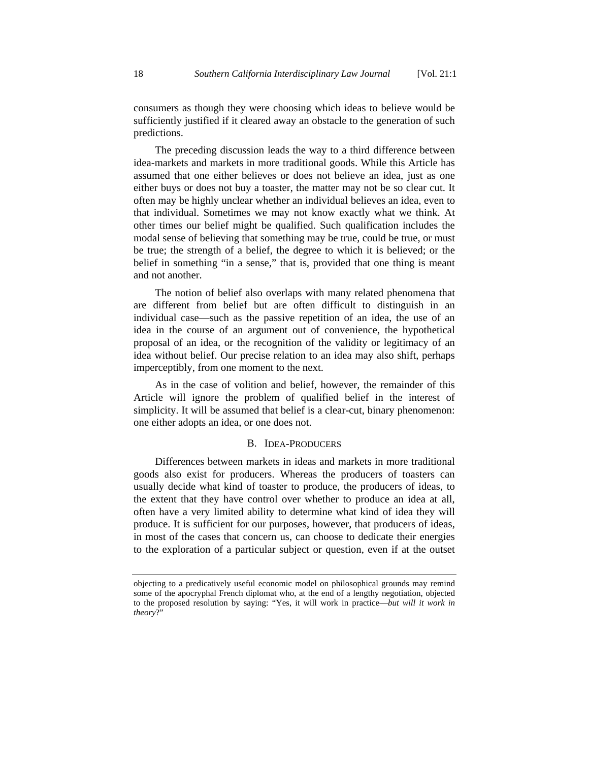consumers as though they were choosing which ideas to believe would be sufficiently justified if it cleared away an obstacle to the generation of such predictions.

The preceding discussion leads the way to a third difference between idea-markets and markets in more traditional goods. While this Article has assumed that one either believes or does not believe an idea, just as one either buys or does not buy a toaster, the matter may not be so clear cut. It often may be highly unclear whether an individual believes an idea, even to that individual. Sometimes we may not know exactly what we think. At other times our belief might be qualified. Such qualification includes the modal sense of believing that something may be true, could be true, or must be true; the strength of a belief, the degree to which it is believed; or the belief in something "in a sense," that is, provided that one thing is meant and not another.

The notion of belief also overlaps with many related phenomena that are different from belief but are often difficult to distinguish in an individual case—such as the passive repetition of an idea, the use of an idea in the course of an argument out of convenience, the hypothetical proposal of an idea, or the recognition of the validity or legitimacy of an idea without belief. Our precise relation to an idea may also shift, perhaps imperceptibly, from one moment to the next.

As in the case of volition and belief, however, the remainder of this Article will ignore the problem of qualified belief in the interest of simplicity. It will be assumed that belief is a clear-cut, binary phenomenon: one either adopts an idea, or one does not.

#### B. IDEA-PRODUCERS

Differences between markets in ideas and markets in more traditional goods also exist for producers. Whereas the producers of toasters can usually decide what kind of toaster to produce, the producers of ideas, to the extent that they have control over whether to produce an idea at all, often have a very limited ability to determine what kind of idea they will produce. It is sufficient for our purposes, however, that producers of ideas, in most of the cases that concern us, can choose to dedicate their energies to the exploration of a particular subject or question, even if at the outset

objecting to a predicatively useful economic model on philosophical grounds may remind some of the apocryphal French diplomat who, at the end of a lengthy negotiation, objected to the proposed resolution by saying: "Yes, it will work in practice—*but will it work in theory*?"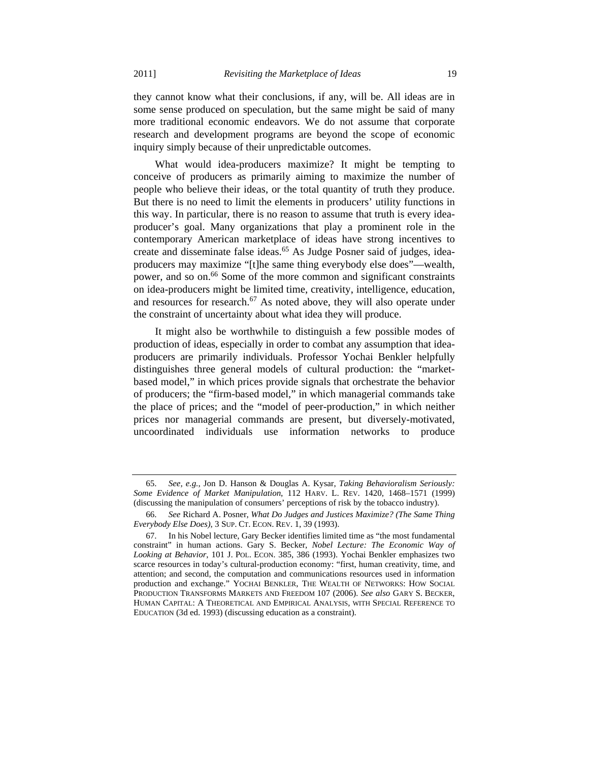some sense produced on speculation, but the same might be said of many more traditional economic endeavors. We do not assume that corporate research and development programs are beyond the scope of economic inquiry simply because of their unpredictable outcomes.

What would idea-producers maximize? It might be tempting to conceive of producers as primarily aiming to maximize the number of people who believe their ideas, or the total quantity of truth they produce. But there is no need to limit the elements in producers' utility functions in this way. In particular, there is no reason to assume that truth is every ideaproducer's goal. Many organizations that play a prominent role in the contemporary American marketplace of ideas have strong incentives to create and disseminate false ideas.<sup>65</sup> As Judge Posner said of judges, ideaproducers may maximize "[t]he same thing everybody else does"—wealth, power, and so on.66 Some of the more common and significant constraints on idea-producers might be limited time, creativity, intelligence, education, and resources for research.<sup>67</sup> As noted above, they will also operate under the constraint of uncertainty about what idea they will produce.

It might also be worthwhile to distinguish a few possible modes of production of ideas, especially in order to combat any assumption that ideaproducers are primarily individuals. Professor Yochai Benkler helpfully distinguishes three general models of cultural production: the "marketbased model," in which prices provide signals that orchestrate the behavior of producers; the "firm-based model," in which managerial commands take the place of prices; and the "model of peer-production," in which neither prices nor managerial commands are present, but diversely-motivated, uncoordinated individuals use information networks to produce

 <sup>65.</sup> *See, e.g.*, Jon D. Hanson & Douglas A. Kysar, *Taking Behavioralism Seriously: Some Evidence of Market Manipulation*, 112 HARV. L. REV. 1420, 1468–1571 (1999) (discussing the manipulation of consumers' perceptions of risk by the tobacco industry).

 <sup>66.</sup> *See* Richard A. Posner, *What Do Judges and Justices Maximize? (The Same Thing Everybody Else Does)*, 3 SUP. CT. ECON. REV. 1, 39 (1993).

 <sup>67.</sup> In his Nobel lecture, Gary Becker identifies limited time as "the most fundamental constraint" in human actions. Gary S. Becker, *Nobel Lecture: The Economic Way of Looking at Behavior*, 101 J. POL. ECON. 385, 386 (1993). Yochai Benkler emphasizes two scarce resources in today's cultural-production economy: "first, human creativity, time, and attention; and second, the computation and communications resources used in information production and exchange." YOCHAI BENKLER, THE WEALTH OF NETWORKS: HOW SOCIAL PRODUCTION TRANSFORMS MARKETS AND FREEDOM 107 (2006). *See also* GARY S. BECKER, HUMAN CAPITAL: A THEORETICAL AND EMPIRICAL ANALYSIS, WITH SPECIAL REFERENCE TO EDUCATION (3d ed. 1993) (discussing education as a constraint).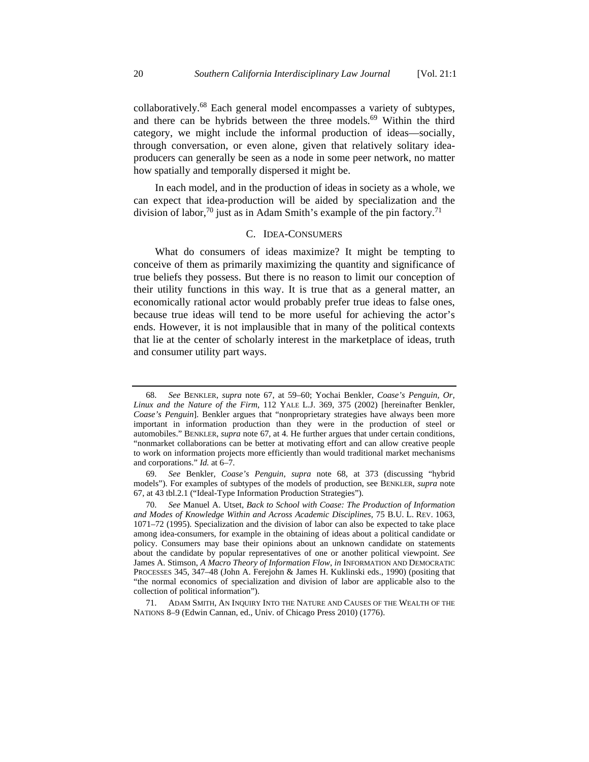collaboratively.<sup>68</sup> Each general model encompasses a variety of subtypes, and there can be hybrids between the three models.<sup>69</sup> Within the third category, we might include the informal production of ideas—socially, through conversation, or even alone, given that relatively solitary ideaproducers can generally be seen as a node in some peer network, no matter how spatially and temporally dispersed it might be.

In each model, and in the production of ideas in society as a whole, we can expect that idea-production will be aided by specialization and the division of labor,<sup>70</sup> just as in Adam Smith's example of the pin factory.<sup>71</sup>

## C. IDEA-CONSUMERS

What do consumers of ideas maximize? It might be tempting to conceive of them as primarily maximizing the quantity and significance of true beliefs they possess. But there is no reason to limit our conception of their utility functions in this way. It is true that as a general matter, an economically rational actor would probably prefer true ideas to false ones, because true ideas will tend to be more useful for achieving the actor's ends. However, it is not implausible that in many of the political contexts that lie at the center of scholarly interest in the marketplace of ideas, truth and consumer utility part ways.

 <sup>68.</sup> *See* BENKLER, *supra* note 67, at 59–60; Yochai Benkler, *Coase's Penguin, Or, Linux and the Nature of the Firm*, 112 YALE L.J. 369, 375 (2002) [hereinafter Benkler, *Coase's Penguin*]. Benkler argues that "nonproprietary strategies have always been more important in information production than they were in the production of steel or automobiles." BENKLER, *supra* note 67, at 4. He further argues that under certain conditions, "nonmarket collaborations can be better at motivating effort and can allow creative people to work on information projects more efficiently than would traditional market mechanisms and corporations." *Id.* at 6–7.

 <sup>69.</sup> *See* Benkler, *Coase's Penguin*, *supra* note 68, at 373 (discussing "hybrid models"). For examples of subtypes of the models of production, see BENKLER, *supra* note 67, at 43 tbl.2.1 ("Ideal-Type Information Production Strategies").

 <sup>70.</sup> *See* Manuel A. Utset, *Back to School with Coase: The Production of Information and Modes of Knowledge Within and Across Academic Disciplines*, 75 B.U. L. REV. 1063, 1071–72 (1995). Specialization and the division of labor can also be expected to take place among idea-consumers, for example in the obtaining of ideas about a political candidate or policy. Consumers may base their opinions about an unknown candidate on statements about the candidate by popular representatives of one or another political viewpoint. *See* James A. Stimson, *A Macro Theory of Information Flow*, *in* INFORMATION AND DEMOCRATIC PROCESSES 345, 347–48 (John A. Ferejohn & James H. Kuklinski eds., 1990) (positing that "the normal economics of specialization and division of labor are applicable also to the collection of political information").

 <sup>71.</sup> ADAM SMITH, AN INQUIRY INTO THE NATURE AND CAUSES OF THE WEALTH OF THE NATIONS 8–9 (Edwin Cannan, ed., Univ. of Chicago Press 2010) (1776).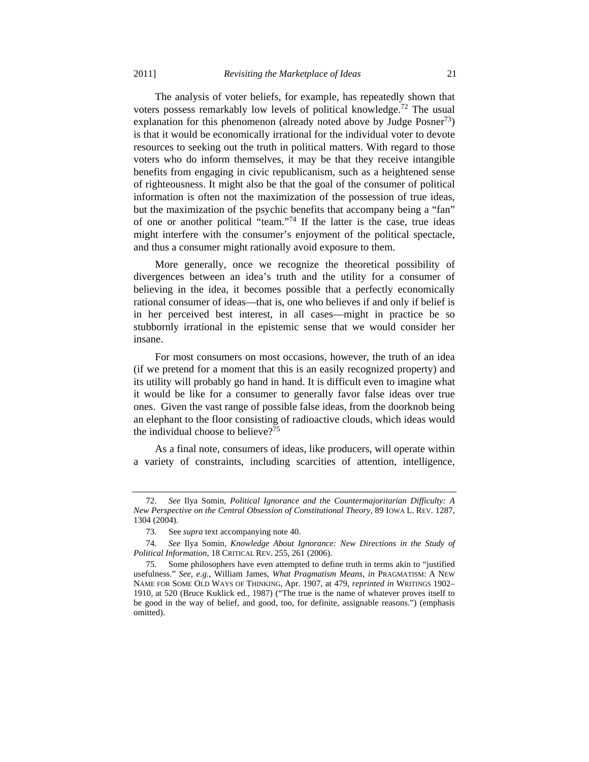The analysis of voter beliefs, for example, has repeatedly shown that voters possess remarkably low levels of political knowledge.72 The usual explanation for this phenomenon (already noted above by Judge Posner<sup>73</sup>) is that it would be economically irrational for the individual voter to devote resources to seeking out the truth in political matters. With regard to those voters who do inform themselves, it may be that they receive intangible benefits from engaging in civic republicanism, such as a heightened sense of righteousness. It might also be that the goal of the consumer of political information is often not the maximization of the possession of true ideas, but the maximization of the psychic benefits that accompany being a "fan" of one or another political "team."74 If the latter is the case, true ideas might interfere with the consumer's enjoyment of the political spectacle, and thus a consumer might rationally avoid exposure to them.

More generally, once we recognize the theoretical possibility of divergences between an idea's truth and the utility for a consumer of believing in the idea, it becomes possible that a perfectly economically rational consumer of ideas—that is, one who believes if and only if belief is in her perceived best interest, in all cases—might in practice be so stubbornly irrational in the epistemic sense that we would consider her insane.

For most consumers on most occasions, however, the truth of an idea (if we pretend for a moment that this is an easily recognized property) and its utility will probably go hand in hand. It is difficult even to imagine what it would be like for a consumer to generally favor false ideas over true ones. Given the vast range of possible false ideas, from the doorknob being an elephant to the floor consisting of radioactive clouds, which ideas would the individual choose to believe?<sup>75</sup>

As a final note, consumers of ideas, like producers, will operate within a variety of constraints, including scarcities of attention, intelligence,

 <sup>72.</sup> *See* Ilya Somin, *Political Ignorance and the Countermajoritarian Difficulty: A New Perspective on the Central Obsession of Constitutional Theory*, 89 IOWA L. REV. 1287, 1304 (2004).

 <sup>73.</sup> See *supra* text accompanying note 40.

 <sup>74.</sup> *See* Ilya Somin, *Knowledge About Ignorance: New Directions in the Study of Political Information*, 18 CRITICAL REV. 255, 261 (2006).

 <sup>75.</sup> Some philosophers have even attempted to define truth in terms akin to "justified usefulness." *See, e.g.*, William James, *What Pragmatism Means*, *in* PRAGMATISM: A NEW NAME FOR SOME OLD WAYS OF THINKING, Apr. 1907, at 479, *reprinted in* WRITINGS 1902– 1910, at 520 (Bruce Kuklick ed., 1987) ("The true is the name of whatever proves itself to be good in the way of belief, and good, too, for definite, assignable reasons.") (emphasis omitted).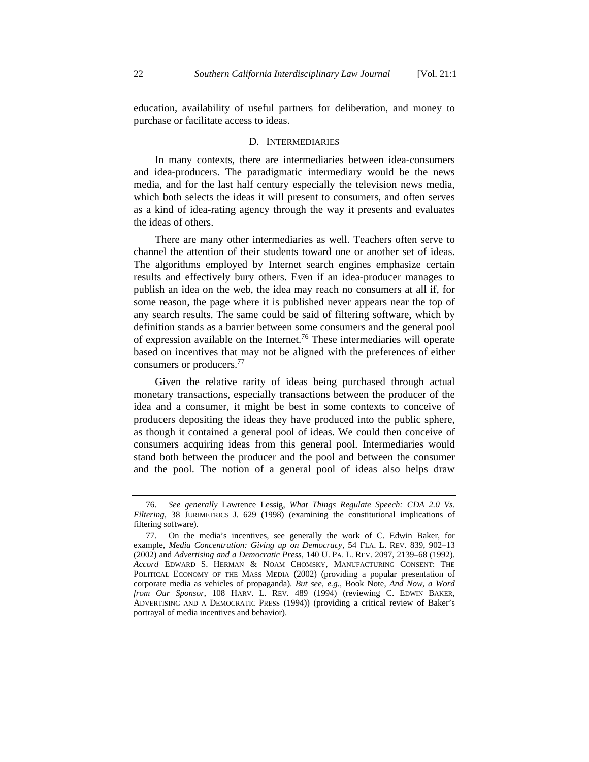education, availability of useful partners for deliberation, and money to purchase or facilitate access to ideas.

#### D. INTERMEDIARIES

In many contexts, there are intermediaries between idea-consumers and idea-producers. The paradigmatic intermediary would be the news media, and for the last half century especially the television news media, which both selects the ideas it will present to consumers, and often serves as a kind of idea-rating agency through the way it presents and evaluates the ideas of others.

There are many other intermediaries as well. Teachers often serve to channel the attention of their students toward one or another set of ideas. The algorithms employed by Internet search engines emphasize certain results and effectively bury others. Even if an idea-producer manages to publish an idea on the web, the idea may reach no consumers at all if, for some reason, the page where it is published never appears near the top of any search results. The same could be said of filtering software, which by definition stands as a barrier between some consumers and the general pool of expression available on the Internet.76 These intermediaries will operate based on incentives that may not be aligned with the preferences of either consumers or producers.77

Given the relative rarity of ideas being purchased through actual monetary transactions, especially transactions between the producer of the idea and a consumer, it might be best in some contexts to conceive of producers depositing the ideas they have produced into the public sphere, as though it contained a general pool of ideas. We could then conceive of consumers acquiring ideas from this general pool. Intermediaries would stand both between the producer and the pool and between the consumer and the pool. The notion of a general pool of ideas also helps draw

 <sup>76.</sup> *See generally* Lawrence Lessig, *What Things Regulate Speech: CDA 2.0 Vs. Filtering*, 38 JURIMETRICS J. 629 (1998) (examining the constitutional implications of filtering software).

 <sup>77.</sup> On the media's incentives, see generally the work of C. Edwin Baker, for example, *Media Concentration: Giving up on Democracy*, 54 FLA. L. REV. 839, 902–13 (2002) and *Advertising and a Democratic Press*, 140 U. PA. L. REV. 2097, 2139–68 (1992). *Accord* EDWARD S. HERMAN & NOAM CHOMSKY, MANUFACTURING CONSENT: THE POLITICAL ECONOMY OF THE MASS MEDIA (2002) (providing a popular presentation of corporate media as vehicles of propaganda). *But see, e.g.*, Book Note, *And Now, a Word from Our Sponsor*, 108 HARV. L. REV. 489 (1994) (reviewing C. EDWIN BAKER, ADVERTISING AND A DEMOCRATIC PRESS (1994)) (providing a critical review of Baker's portrayal of media incentives and behavior).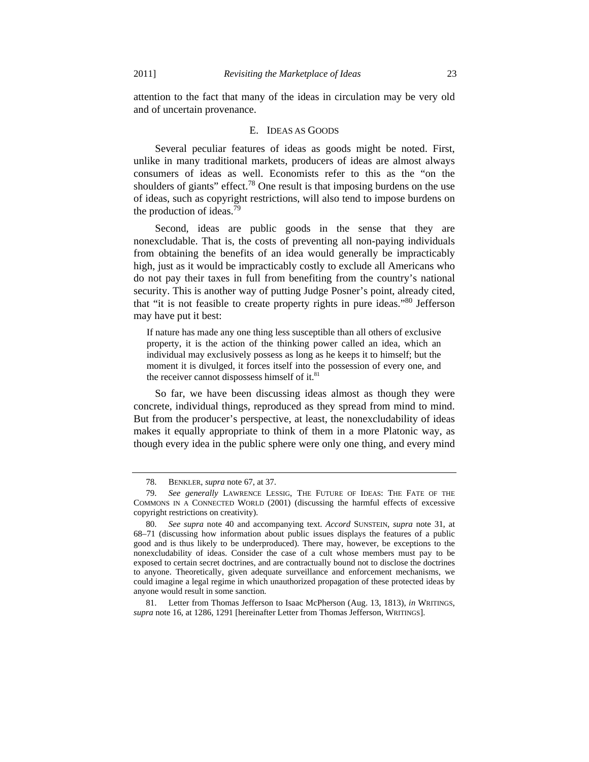attention to the fact that many of the ideas in circulation may be very old and of uncertain provenance.

#### E. IDEAS AS GOODS

Several peculiar features of ideas as goods might be noted. First, unlike in many traditional markets, producers of ideas are almost always consumers of ideas as well. Economists refer to this as the "on the shoulders of giants" effect.<sup>78</sup> One result is that imposing burdens on the use of ideas, such as copyright restrictions, will also tend to impose burdens on the production of ideas.<sup>79</sup>

Second, ideas are public goods in the sense that they are nonexcludable. That is, the costs of preventing all non-paying individuals from obtaining the benefits of an idea would generally be impracticably high, just as it would be impracticably costly to exclude all Americans who do not pay their taxes in full from benefiting from the country's national security. This is another way of putting Judge Posner's point, already cited, that "it is not feasible to create property rights in pure ideas."80 Jefferson may have put it best:

If nature has made any one thing less susceptible than all others of exclusive property, it is the action of the thinking power called an idea, which an individual may exclusively possess as long as he keeps it to himself; but the moment it is divulged, it forces itself into the possession of every one, and the receiver cannot dispossess himself of it. $81$ 

So far, we have been discussing ideas almost as though they were concrete, individual things, reproduced as they spread from mind to mind. But from the producer's perspective, at least, the nonexcludability of ideas makes it equally appropriate to think of them in a more Platonic way, as though every idea in the public sphere were only one thing, and every mind

 <sup>78.</sup> BENKLER, *supra* note 67, at 37.

 <sup>79.</sup> *See generally* LAWRENCE LESSIG, THE FUTURE OF IDEAS: THE FATE OF THE COMMONS IN A CONNECTED WORLD (2001) (discussing the harmful effects of excessive copyright restrictions on creativity).

 <sup>80.</sup> *See supra* note 40 and accompanying text. *Accord* SUNSTEIN, *supra* note 31, at 68–71 (discussing how information about public issues displays the features of a public good and is thus likely to be underproduced). There may, however, be exceptions to the nonexcludability of ideas. Consider the case of a cult whose members must pay to be exposed to certain secret doctrines, and are contractually bound not to disclose the doctrines to anyone. Theoretically, given adequate surveillance and enforcement mechanisms, we could imagine a legal regime in which unauthorized propagation of these protected ideas by anyone would result in some sanction.

 <sup>81.</sup> Letter from Thomas Jefferson to Isaac McPherson (Aug. 13, 1813), *in* WRITINGS, *supra* note 16, at 1286, 1291 [hereinafter Letter from Thomas Jefferson, WRITINGS].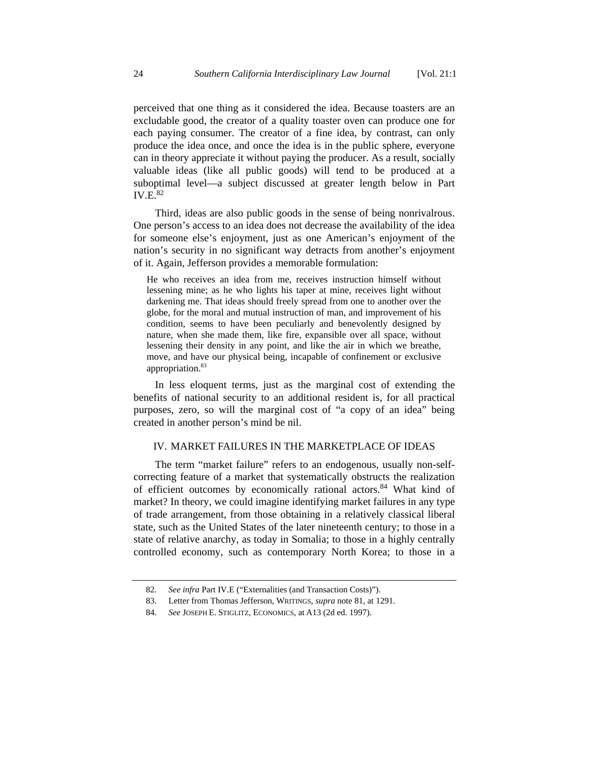perceived that one thing as it considered the idea. Because toasters are an excludable good, the creator of a quality toaster oven can produce one for each paying consumer. The creator of a fine idea, by contrast, can only produce the idea once, and once the idea is in the public sphere, everyone can in theory appreciate it without paying the producer. As a result, socially valuable ideas (like all public goods) will tend to be produced at a suboptimal level—a subject discussed at greater length below in Part  $IV.E.<sup>82</sup>$ 

Third, ideas are also public goods in the sense of being nonrivalrous. One person's access to an idea does not decrease the availability of the idea for someone else's enjoyment, just as one American's enjoyment of the nation's security in no significant way detracts from another's enjoyment of it. Again, Jefferson provides a memorable formulation:

He who receives an idea from me, receives instruction himself without lessening mine; as he who lights his taper at mine, receives light without darkening me. That ideas should freely spread from one to another over the globe, for the moral and mutual instruction of man, and improvement of his condition, seems to have been peculiarly and benevolently designed by nature, when she made them, like fire, expansible over all space, without lessening their density in any point, and like the air in which we breathe, move, and have our physical being, incapable of confinement or exclusive appropriation.83

In less eloquent terms, just as the marginal cost of extending the benefits of national security to an additional resident is, for all practical purposes, zero, so will the marginal cost of "a copy of an idea" being created in another person's mind be nil.

# IV. MARKET FAILURES IN THE MARKETPLACE OF IDEAS

The term "market failure" refers to an endogenous, usually non-selfcorrecting feature of a market that systematically obstructs the realization of efficient outcomes by economically rational actors.<sup>84</sup> What kind of market? In theory, we could imagine identifying market failures in any type of trade arrangement, from those obtaining in a relatively classical liberal state, such as the United States of the later nineteenth century; to those in a state of relative anarchy, as today in Somalia; to those in a highly centrally controlled economy, such as contemporary North Korea; to those in a

 <sup>82.</sup> *See infra* Part IV.E ("Externalities (and Transaction Costs)").

 <sup>83.</sup> Letter from Thomas Jefferson, WRITINGS, *supra* note 81, at 1291.

 <sup>84.</sup> *See* JOSEPH E. STIGLITZ, ECONOMICS, at A13 (2d ed. 1997).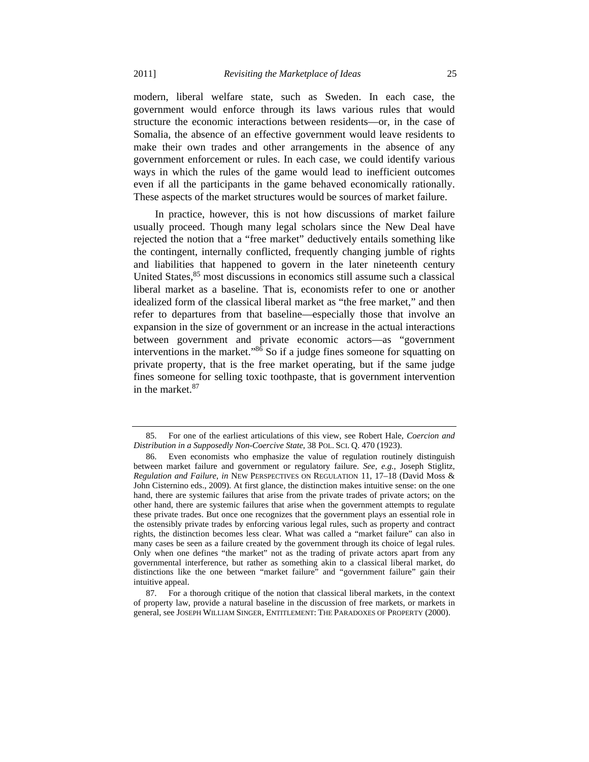modern, liberal welfare state, such as Sweden. In each case, the government would enforce through its laws various rules that would structure the economic interactions between residents—or, in the case of Somalia, the absence of an effective government would leave residents to make their own trades and other arrangements in the absence of any government enforcement or rules. In each case, we could identify various ways in which the rules of the game would lead to inefficient outcomes even if all the participants in the game behaved economically rationally. These aspects of the market structures would be sources of market failure.

In practice, however, this is not how discussions of market failure usually proceed. Though many legal scholars since the New Deal have rejected the notion that a "free market" deductively entails something like the contingent, internally conflicted, frequently changing jumble of rights and liabilities that happened to govern in the later nineteenth century United States, <sup>85</sup> most discussions in economics still assume such a classical liberal market as a baseline. That is, economists refer to one or another idealized form of the classical liberal market as "the free market," and then refer to departures from that baseline—especially those that involve an expansion in the size of government or an increase in the actual interactions between government and private economic actors—as "government interventions in the market." $86$  So if a judge fines someone for squatting on private property, that is the free market operating, but if the same judge fines someone for selling toxic toothpaste, that is government intervention in the market  $87$ 

 <sup>85.</sup> For one of the earliest articulations of this view, see Robert Hale, *Coercion and Distribution in a Supposedly Non-Coercive State*, 38 POL. SCI. Q. 470 (1923).

 <sup>86.</sup> Even economists who emphasize the value of regulation routinely distinguish between market failure and government or regulatory failure. *See, e.g.*, Joseph Stiglitz, *Regulation and Failure*, *in* NEW PERSPECTIVES ON REGULATION 11, 17–18 (David Moss & John Cisternino eds., 2009). At first glance, the distinction makes intuitive sense: on the one hand, there are systemic failures that arise from the private trades of private actors; on the other hand, there are systemic failures that arise when the government attempts to regulate these private trades. But once one recognizes that the government plays an essential role in the ostensibly private trades by enforcing various legal rules, such as property and contract rights, the distinction becomes less clear. What was called a "market failure" can also in many cases be seen as a failure created by the government through its choice of legal rules. Only when one defines "the market" not as the trading of private actors apart from any governmental interference, but rather as something akin to a classical liberal market, do distinctions like the one between "market failure" and "government failure" gain their intuitive appeal.

 <sup>87.</sup> For a thorough critique of the notion that classical liberal markets, in the context of property law, provide a natural baseline in the discussion of free markets, or markets in general, see JOSEPH WILLIAM SINGER, ENTITLEMENT: THE PARADOXES OF PROPERTY (2000).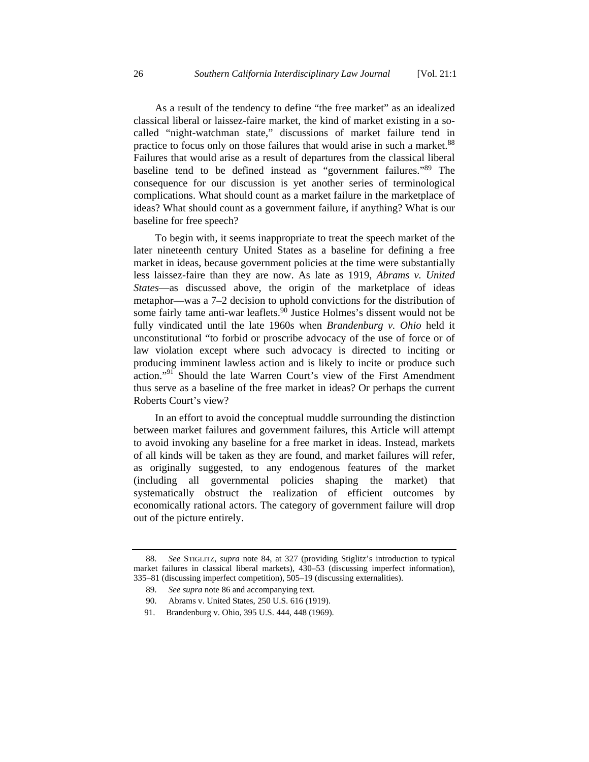As a result of the tendency to define "the free market" as an idealized classical liberal or laissez-faire market, the kind of market existing in a socalled "night-watchman state," discussions of market failure tend in practice to focus only on those failures that would arise in such a market.<sup>88</sup> Failures that would arise as a result of departures from the classical liberal baseline tend to be defined instead as "government failures."89 The consequence for our discussion is yet another series of terminological complications. What should count as a market failure in the marketplace of ideas? What should count as a government failure, if anything? What is our baseline for free speech?

To begin with, it seems inappropriate to treat the speech market of the later nineteenth century United States as a baseline for defining a free market in ideas, because government policies at the time were substantially less laissez-faire than they are now. As late as 1919, *Abrams v. United States*—as discussed above, the origin of the marketplace of ideas metaphor—was a 7–2 decision to uphold convictions for the distribution of some fairly tame anti-war leaflets. $90$  Justice Holmes's dissent would not be fully vindicated until the late 1960s when *Brandenburg v. Ohio* held it unconstitutional "to forbid or proscribe advocacy of the use of force or of law violation except where such advocacy is directed to inciting or producing imminent lawless action and is likely to incite or produce such action."<sup>91</sup> Should the late Warren Court's view of the First Amendment thus serve as a baseline of the free market in ideas? Or perhaps the current Roberts Court's view?

In an effort to avoid the conceptual muddle surrounding the distinction between market failures and government failures, this Article will attempt to avoid invoking any baseline for a free market in ideas. Instead, markets of all kinds will be taken as they are found, and market failures will refer, as originally suggested, to any endogenous features of the market (including all governmental policies shaping the market) that systematically obstruct the realization of efficient outcomes by economically rational actors. The category of government failure will drop out of the picture entirely.

 <sup>88.</sup> *See* STIGLITZ, *supra* note 84, at 327 (providing Stiglitz's introduction to typical market failures in classical liberal markets), 430–53 (discussing imperfect information), 335–81 (discussing imperfect competition), 505–19 (discussing externalities).

 <sup>89.</sup> *See supra* note 86 and accompanying text.

 <sup>90.</sup> Abrams v. United States, 250 U.S. 616 (1919).

 <sup>91.</sup> Brandenburg v. Ohio, 395 U.S. 444, 448 (1969).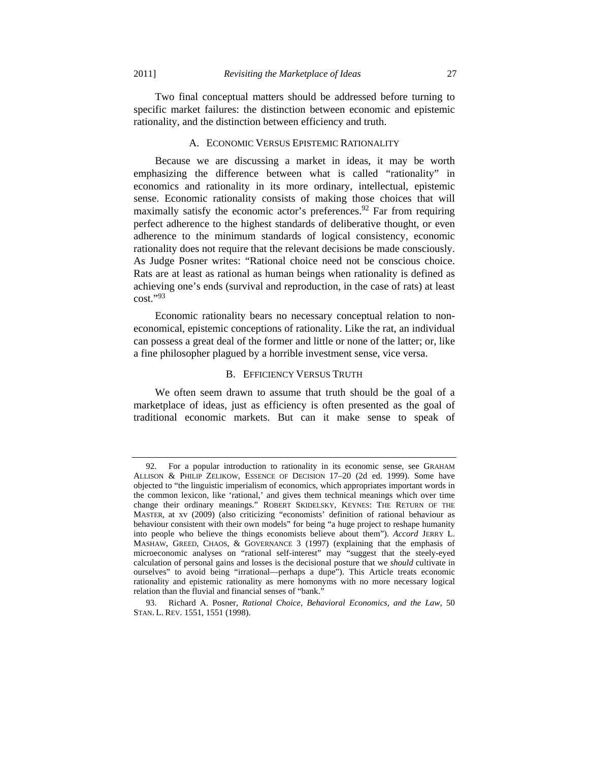Two final conceptual matters should be addressed before turning to specific market failures: the distinction between economic and epistemic rationality, and the distinction between efficiency and truth.

# A. ECONOMIC VERSUS EPISTEMIC RATIONALITY

Because we are discussing a market in ideas, it may be worth emphasizing the difference between what is called "rationality" in economics and rationality in its more ordinary, intellectual, epistemic sense. Economic rationality consists of making those choices that will maximally satisfy the economic actor's preferences.<sup>92</sup> Far from requiring perfect adherence to the highest standards of deliberative thought, or even adherence to the minimum standards of logical consistency, economic rationality does not require that the relevant decisions be made consciously. As Judge Posner writes: "Rational choice need not be conscious choice. Rats are at least as rational as human beings when rationality is defined as achieving one's ends (survival and reproduction, in the case of rats) at least cost."93

Economic rationality bears no necessary conceptual relation to noneconomical, epistemic conceptions of rationality. Like the rat, an individual can possess a great deal of the former and little or none of the latter; or, like a fine philosopher plagued by a horrible investment sense, vice versa.

## B. EFFICIENCY VERSUS TRUTH

We often seem drawn to assume that truth should be the goal of a marketplace of ideas, just as efficiency is often presented as the goal of traditional economic markets. But can it make sense to speak of

 <sup>92.</sup> For a popular introduction to rationality in its economic sense, see GRAHAM ALLISON & PHILIP ZELIKOW, ESSENCE OF DECISION 17–20 (2d ed. 1999). Some have objected to "the linguistic imperialism of economics, which appropriates important words in the common lexicon, like 'rational,' and gives them technical meanings which over time change their ordinary meanings." ROBERT SKIDELSKY, KEYNES: THE RETURN OF THE MASTER, at xv (2009) (also criticizing "economists' definition of rational behaviour as behaviour consistent with their own models" for being "a huge project to reshape humanity into people who believe the things economists believe about them"). *Accord* JERRY L. MASHAW, GREED, CHAOS, & GOVERNANCE 3 (1997) (explaining that the emphasis of microeconomic analyses on "rational self-interest" may "suggest that the steely-eyed calculation of personal gains and losses is the decisional posture that we *should* cultivate in ourselves" to avoid being "irrational—perhaps a dupe"). This Article treats economic rationality and epistemic rationality as mere homonyms with no more necessary logical relation than the fluvial and financial senses of "bank."

 <sup>93.</sup> Richard A. Posner, *Rational Choice, Behavioral Economics, and the Law*, 50 STAN. L. REV. 1551, 1551 (1998).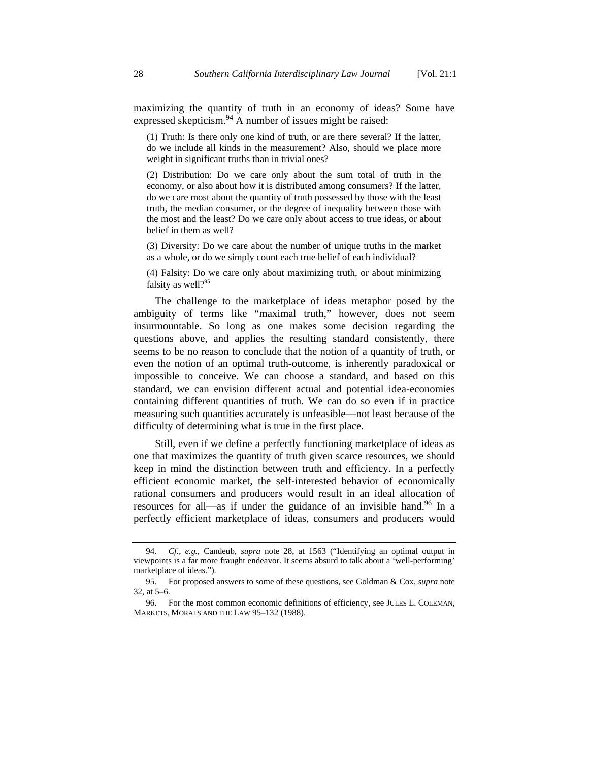maximizing the quantity of truth in an economy of ideas? Some have expressed skepticism.<sup>94</sup> A number of issues might be raised:

(1) Truth: Is there only one kind of truth, or are there several? If the latter, do we include all kinds in the measurement? Also, should we place more weight in significant truths than in trivial ones?

(2) Distribution: Do we care only about the sum total of truth in the economy, or also about how it is distributed among consumers? If the latter, do we care most about the quantity of truth possessed by those with the least truth, the median consumer, or the degree of inequality between those with the most and the least? Do we care only about access to true ideas, or about belief in them as well?

(3) Diversity: Do we care about the number of unique truths in the market as a whole, or do we simply count each true belief of each individual?

(4) Falsity: Do we care only about maximizing truth, or about minimizing falsity as well?<sup>95</sup>

The challenge to the marketplace of ideas metaphor posed by the ambiguity of terms like "maximal truth," however, does not seem insurmountable. So long as one makes some decision regarding the questions above, and applies the resulting standard consistently, there seems to be no reason to conclude that the notion of a quantity of truth, or even the notion of an optimal truth-outcome, is inherently paradoxical or impossible to conceive. We can choose a standard, and based on this standard, we can envision different actual and potential idea-economies containing different quantities of truth. We can do so even if in practice measuring such quantities accurately is unfeasible—not least because of the difficulty of determining what is true in the first place.

Still, even if we define a perfectly functioning marketplace of ideas as one that maximizes the quantity of truth given scarce resources, we should keep in mind the distinction between truth and efficiency. In a perfectly efficient economic market, the self-interested behavior of economically rational consumers and producers would result in an ideal allocation of resources for all—as if under the guidance of an invisible hand.96 In a perfectly efficient marketplace of ideas, consumers and producers would

 <sup>94.</sup> *Cf., e.g.*, Candeub, *supra* note 28, at 1563 ("Identifying an optimal output in viewpoints is a far more fraught endeavor. It seems absurd to talk about a 'well-performing' marketplace of ideas.").

 <sup>95.</sup> For proposed answers to some of these questions, see Goldman & Cox, *supra* note 32, at 5–6.

 <sup>96.</sup> For the most common economic definitions of efficiency, see JULES L. COLEMAN, MARKETS, MORALS AND THE LAW 95–132 (1988).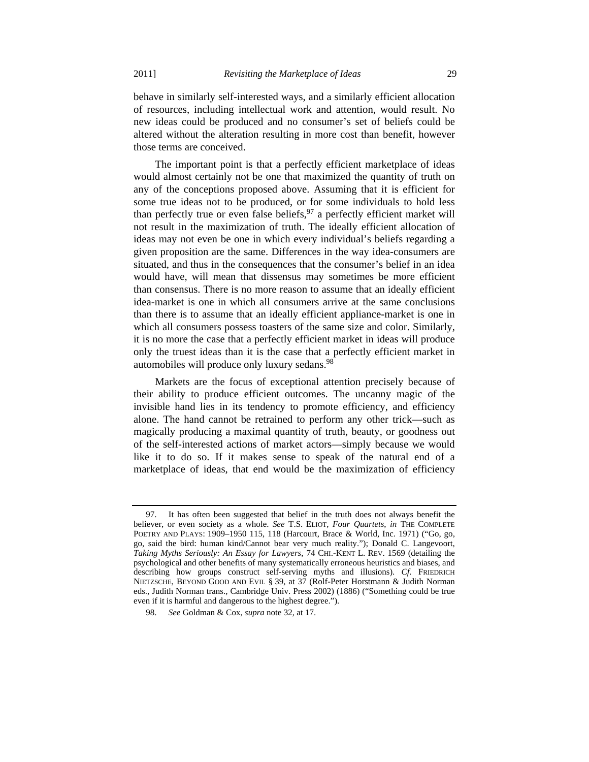behave in similarly self-interested ways, and a similarly efficient allocation of resources, including intellectual work and attention, would result. No new ideas could be produced and no consumer's set of beliefs could be altered without the alteration resulting in more cost than benefit, however those terms are conceived.

The important point is that a perfectly efficient marketplace of ideas would almost certainly not be one that maximized the quantity of truth on any of the conceptions proposed above. Assuming that it is efficient for some true ideas not to be produced, or for some individuals to hold less than perfectly true or even false beliefs,  $97$  a perfectly efficient market will not result in the maximization of truth. The ideally efficient allocation of ideas may not even be one in which every individual's beliefs regarding a given proposition are the same. Differences in the way idea-consumers are situated, and thus in the consequences that the consumer's belief in an idea would have, will mean that dissensus may sometimes be more efficient than consensus. There is no more reason to assume that an ideally efficient idea-market is one in which all consumers arrive at the same conclusions than there is to assume that an ideally efficient appliance-market is one in which all consumers possess toasters of the same size and color. Similarly, it is no more the case that a perfectly efficient market in ideas will produce only the truest ideas than it is the case that a perfectly efficient market in automobiles will produce only luxury sedans.<sup>98</sup>

Markets are the focus of exceptional attention precisely because of their ability to produce efficient outcomes. The uncanny magic of the invisible hand lies in its tendency to promote efficiency, and efficiency alone. The hand cannot be retrained to perform any other trick—such as magically producing a maximal quantity of truth, beauty, or goodness out of the self-interested actions of market actors—simply because we would like it to do so. If it makes sense to speak of the natural end of a marketplace of ideas, that end would be the maximization of efficiency

 <sup>97.</sup> It has often been suggested that belief in the truth does not always benefit the believer, or even society as a whole. *See* T.S. ELIOT, *Four Quartets*, *in* THE COMPLETE POETRY AND PLAYS: 1909–1950 115, 118 (Harcourt, Brace & World, Inc. 1971) ("Go, go, go, said the bird: human kind/Cannot bear very much reality."); Donald C. Langevoort, *Taking Myths Seriously: An Essay for Lawyers,* 74 CHI.-KENT L. REV. 1569 (detailing the psychological and other benefits of many systematically erroneous heuristics and biases, and describing how groups construct self-serving myths and illusions). *Cf.* FRIEDRICH NIETZSCHE, BEYOND GOOD AND EVIL § 39, at 37 (Rolf-Peter Horstmann & Judith Norman eds., Judith Norman trans., Cambridge Univ. Press 2002) (1886) ("Something could be true even if it is harmful and dangerous to the highest degree.").

 <sup>98.</sup> *See* Goldman & Cox, *supra* note 32, at 17.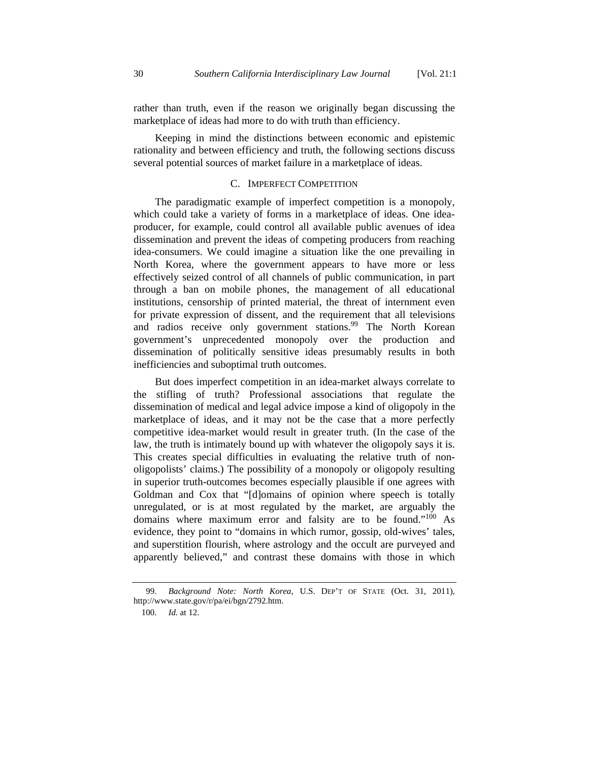rather than truth, even if the reason we originally began discussing the marketplace of ideas had more to do with truth than efficiency.

Keeping in mind the distinctions between economic and epistemic rationality and between efficiency and truth, the following sections discuss several potential sources of market failure in a marketplace of ideas.

## C. IMPERFECT COMPETITION

The paradigmatic example of imperfect competition is a monopoly, which could take a variety of forms in a marketplace of ideas. One ideaproducer, for example, could control all available public avenues of idea dissemination and prevent the ideas of competing producers from reaching idea-consumers. We could imagine a situation like the one prevailing in North Korea, where the government appears to have more or less effectively seized control of all channels of public communication, in part through a ban on mobile phones, the management of all educational institutions, censorship of printed material, the threat of internment even for private expression of dissent, and the requirement that all televisions and radios receive only government stations.<sup>99</sup> The North Korean government's unprecedented monopoly over the production and dissemination of politically sensitive ideas presumably results in both inefficiencies and suboptimal truth outcomes.

But does imperfect competition in an idea-market always correlate to the stifling of truth? Professional associations that regulate the dissemination of medical and legal advice impose a kind of oligopoly in the marketplace of ideas, and it may not be the case that a more perfectly competitive idea-market would result in greater truth. (In the case of the law, the truth is intimately bound up with whatever the oligopoly says it is. This creates special difficulties in evaluating the relative truth of nonoligopolists' claims.) The possibility of a monopoly or oligopoly resulting in superior truth-outcomes becomes especially plausible if one agrees with Goldman and Cox that "[d]omains of opinion where speech is totally unregulated, or is at most regulated by the market, are arguably the domains where maximum error and falsity are to be found."100 As evidence, they point to "domains in which rumor, gossip, old-wives' tales, and superstition flourish, where astrology and the occult are purveyed and apparently believed," and contrast these domains with those in which

100. *Id.* at 12.

Background Note: North Korea, U.S. DEP'T OF STATE (Oct. 31, 2011), http://www.state.gov/r/pa/ei/bgn/2792.htm.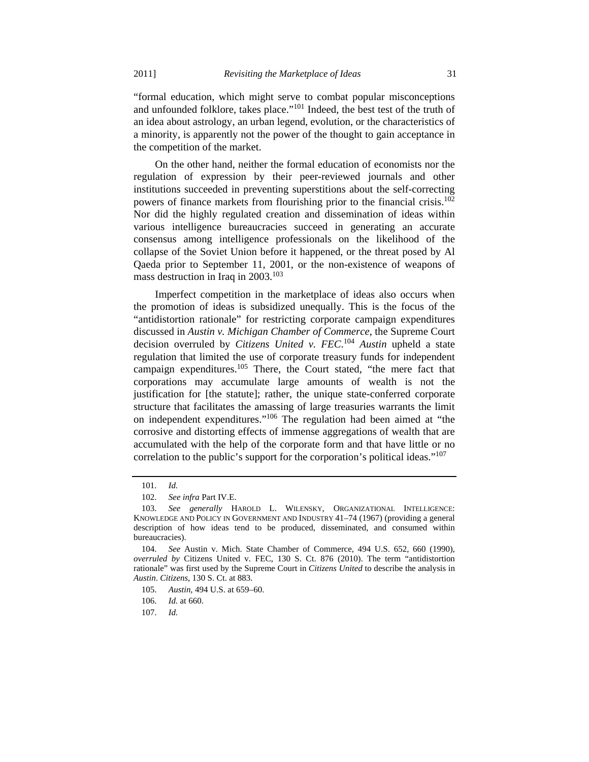"formal education, which might serve to combat popular misconceptions and unfounded folklore, takes place."<sup>101</sup> Indeed, the best test of the truth of an idea about astrology, an urban legend, evolution, or the characteristics of a minority, is apparently not the power of the thought to gain acceptance in the competition of the market.

On the other hand, neither the formal education of economists nor the regulation of expression by their peer-reviewed journals and other institutions succeeded in preventing superstitions about the self-correcting powers of finance markets from flourishing prior to the financial crisis.<sup>102</sup> Nor did the highly regulated creation and dissemination of ideas within various intelligence bureaucracies succeed in generating an accurate consensus among intelligence professionals on the likelihood of the collapse of the Soviet Union before it happened, or the threat posed by Al Qaeda prior to September 11, 2001, or the non-existence of weapons of mass destruction in Iraq in  $2003$ <sup>103</sup>

Imperfect competition in the marketplace of ideas also occurs when the promotion of ideas is subsidized unequally. This is the focus of the "antidistortion rationale" for restricting corporate campaign expenditures discussed in *Austin v. Michigan Chamber of Commerce*, the Supreme Court decision overruled by *Citizens United v. FEC*. <sup>104</sup> *Austin* upheld a state regulation that limited the use of corporate treasury funds for independent campaign expenditures.<sup>105</sup> There, the Court stated, "the mere fact that corporations may accumulate large amounts of wealth is not the justification for [the statute]; rather, the unique state-conferred corporate structure that facilitates the amassing of large treasuries warrants the limit on independent expenditures."106 The regulation had been aimed at "the corrosive and distorting effects of immense aggregations of wealth that are accumulated with the help of the corporate form and that have little or no correlation to the public's support for the corporation's political ideas."<sup>107</sup>

 <sup>101.</sup> *Id.*

 <sup>102.</sup> *See infra* Part IV.E.

 <sup>103.</sup> *See generally* HAROLD L. WILENSKY, ORGANIZATIONAL INTELLIGENCE: KNOWLEDGE AND POLICY IN GOVERNMENT AND INDUSTRY 41–74 (1967) (providing a general description of how ideas tend to be produced, disseminated, and consumed within bureaucracies).

 <sup>104.</sup> *See* Austin v. Mich. State Chamber of Commerce, 494 U.S. 652, 660 (1990), *overruled by* Citizens United v. FEC, 130 S. Ct. 876 (2010). The term "antidistortion rationale" was first used by the Supreme Court in *Citizens United* to describe the analysis in *Austin*. *Citizens*, 130 S. Ct. at 883.

 <sup>105.</sup> *Austin*, 494 U.S. at 659–60.

 <sup>106.</sup> *Id.* at 660.

 <sup>107.</sup> *Id.*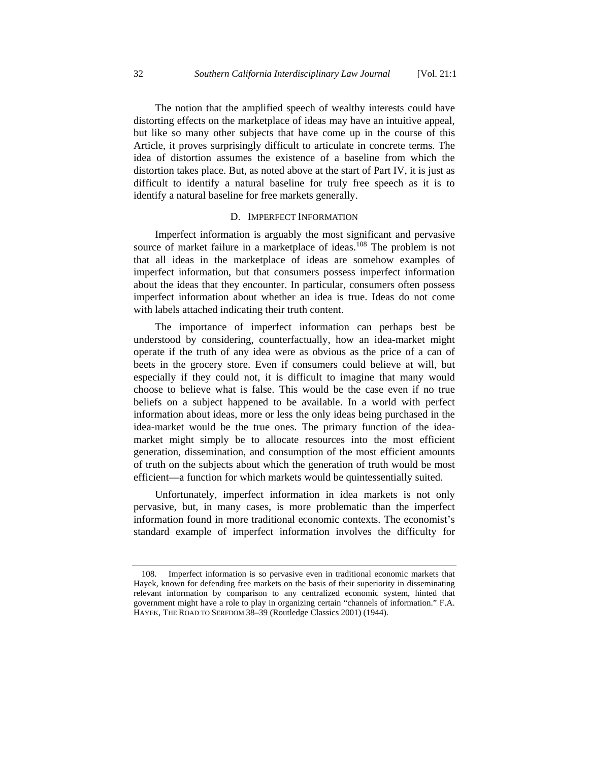The notion that the amplified speech of wealthy interests could have distorting effects on the marketplace of ideas may have an intuitive appeal, but like so many other subjects that have come up in the course of this Article, it proves surprisingly difficult to articulate in concrete terms. The idea of distortion assumes the existence of a baseline from which the distortion takes place. But, as noted above at the start of Part IV, it is just as difficult to identify a natural baseline for truly free speech as it is to identify a natural baseline for free markets generally.

# D. IMPERFECT INFORMATION

Imperfect information is arguably the most significant and pervasive source of market failure in a marketplace of ideas.<sup>108</sup> The problem is not that all ideas in the marketplace of ideas are somehow examples of imperfect information, but that consumers possess imperfect information about the ideas that they encounter. In particular, consumers often possess imperfect information about whether an idea is true. Ideas do not come with labels attached indicating their truth content.

The importance of imperfect information can perhaps best be understood by considering, counterfactually, how an idea-market might operate if the truth of any idea were as obvious as the price of a can of beets in the grocery store. Even if consumers could believe at will, but especially if they could not, it is difficult to imagine that many would choose to believe what is false. This would be the case even if no true beliefs on a subject happened to be available. In a world with perfect information about ideas, more or less the only ideas being purchased in the idea-market would be the true ones. The primary function of the ideamarket might simply be to allocate resources into the most efficient generation, dissemination, and consumption of the most efficient amounts of truth on the subjects about which the generation of truth would be most efficient—a function for which markets would be quintessentially suited.

Unfortunately, imperfect information in idea markets is not only pervasive, but, in many cases, is more problematic than the imperfect information found in more traditional economic contexts. The economist's standard example of imperfect information involves the difficulty for

 <sup>108.</sup> Imperfect information is so pervasive even in traditional economic markets that Hayek, known for defending free markets on the basis of their superiority in disseminating relevant information by comparison to any centralized economic system, hinted that government might have a role to play in organizing certain "channels of information." F.A. HAYEK, THE ROAD TO SERFDOM 38–39 (Routledge Classics 2001) (1944).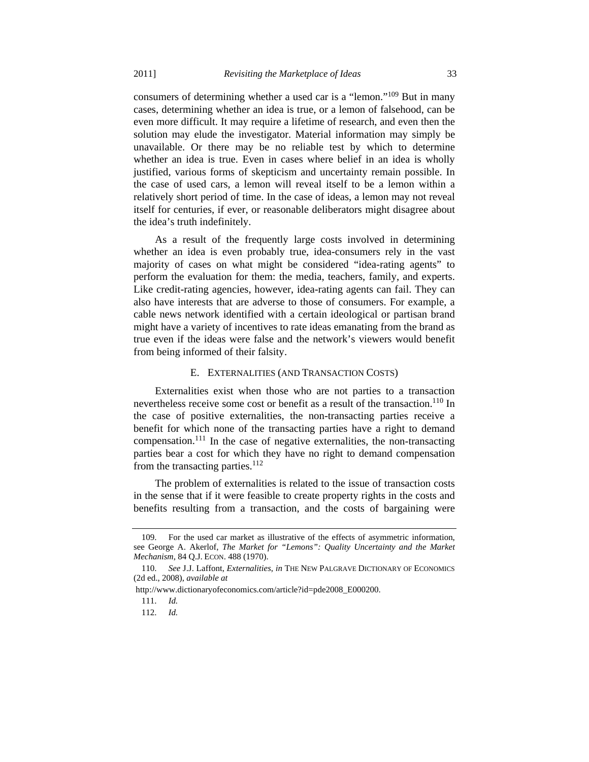consumers of determining whether a used car is a "lemon."109 But in many cases, determining whether an idea is true, or a lemon of falsehood, can be even more difficult. It may require a lifetime of research, and even then the solution may elude the investigator. Material information may simply be unavailable. Or there may be no reliable test by which to determine whether an idea is true. Even in cases where belief in an idea is wholly justified, various forms of skepticism and uncertainty remain possible. In the case of used cars, a lemon will reveal itself to be a lemon within a relatively short period of time. In the case of ideas, a lemon may not reveal itself for centuries, if ever, or reasonable deliberators might disagree about the idea's truth indefinitely.

As a result of the frequently large costs involved in determining whether an idea is even probably true, idea-consumers rely in the vast majority of cases on what might be considered "idea-rating agents" to perform the evaluation for them: the media, teachers, family, and experts. Like credit-rating agencies, however, idea-rating agents can fail. They can also have interests that are adverse to those of consumers. For example, a cable news network identified with a certain ideological or partisan brand might have a variety of incentives to rate ideas emanating from the brand as true even if the ideas were false and the network's viewers would benefit from being informed of their falsity.

## E. EXTERNALITIES (AND TRANSACTION COSTS)

Externalities exist when those who are not parties to a transaction nevertheless receive some cost or benefit as a result of the transaction.<sup>110</sup> In the case of positive externalities, the non-transacting parties receive a benefit for which none of the transacting parties have a right to demand compensation.<sup>111</sup> In the case of negative externalities, the non-transacting parties bear a cost for which they have no right to demand compensation from the transacting parties.<sup>112</sup>

The problem of externalities is related to the issue of transaction costs in the sense that if it were feasible to create property rights in the costs and benefits resulting from a transaction, and the costs of bargaining were

http://www.dictionaryofeconomics.com/article?id=pde2008\_E000200.

 <sup>109.</sup> For the used car market as illustrative of the effects of asymmetric information, see George A. Akerlof, *The Market for "Lemons": Quality Uncertainty and the Market Mechanism*, 84 Q.J. ECON. 488 (1970).

 <sup>110.</sup> *See* J.J. Laffont, *Externalities*, *in* THE NEW PALGRAVE DICTIONARY OF ECONOMICS (2d ed., 2008), *available at* 

 <sup>111.</sup> *Id.* 

 <sup>112.</sup> *Id.*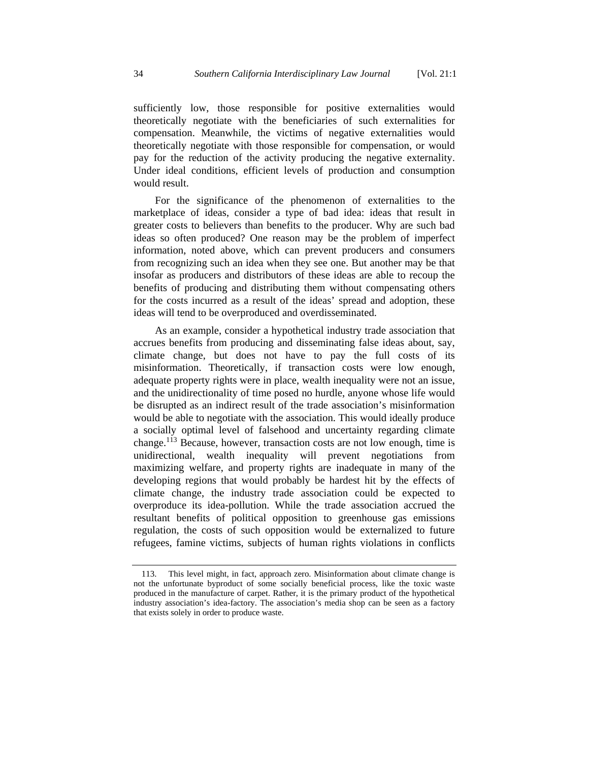sufficiently low, those responsible for positive externalities would theoretically negotiate with the beneficiaries of such externalities for compensation. Meanwhile, the victims of negative externalities would theoretically negotiate with those responsible for compensation, or would pay for the reduction of the activity producing the negative externality. Under ideal conditions, efficient levels of production and consumption would result.

For the significance of the phenomenon of externalities to the marketplace of ideas, consider a type of bad idea: ideas that result in greater costs to believers than benefits to the producer. Why are such bad ideas so often produced? One reason may be the problem of imperfect information, noted above, which can prevent producers and consumers from recognizing such an idea when they see one. But another may be that insofar as producers and distributors of these ideas are able to recoup the benefits of producing and distributing them without compensating others for the costs incurred as a result of the ideas' spread and adoption, these ideas will tend to be overproduced and overdisseminated.

As an example, consider a hypothetical industry trade association that accrues benefits from producing and disseminating false ideas about, say, climate change, but does not have to pay the full costs of its misinformation. Theoretically, if transaction costs were low enough, adequate property rights were in place, wealth inequality were not an issue, and the unidirectionality of time posed no hurdle, anyone whose life would be disrupted as an indirect result of the trade association's misinformation would be able to negotiate with the association. This would ideally produce a socially optimal level of falsehood and uncertainty regarding climate change.<sup>113</sup> Because, however, transaction costs are not low enough, time is unidirectional, wealth inequality will prevent negotiations from maximizing welfare, and property rights are inadequate in many of the developing regions that would probably be hardest hit by the effects of climate change, the industry trade association could be expected to overproduce its idea-pollution. While the trade association accrued the resultant benefits of political opposition to greenhouse gas emissions regulation, the costs of such opposition would be externalized to future refugees, famine victims, subjects of human rights violations in conflicts

 <sup>113.</sup> This level might, in fact, approach zero. Misinformation about climate change is not the unfortunate byproduct of some socially beneficial process, like the toxic waste produced in the manufacture of carpet. Rather, it is the primary product of the hypothetical industry association's idea-factory. The association's media shop can be seen as a factory that exists solely in order to produce waste.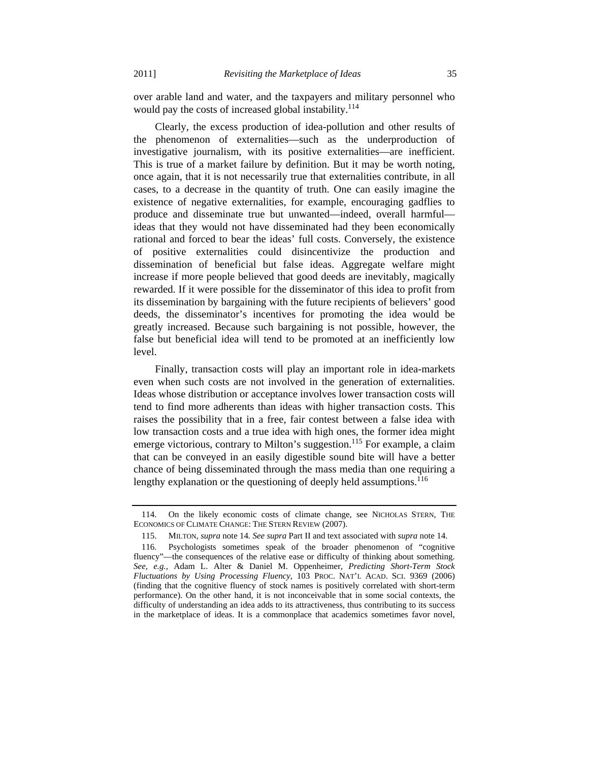over arable land and water, and the taxpayers and military personnel who would pay the costs of increased global instability.<sup>114</sup>

Clearly, the excess production of idea-pollution and other results of the phenomenon of externalities—such as the underproduction of investigative journalism, with its positive externalities—are inefficient. This is true of a market failure by definition. But it may be worth noting, once again, that it is not necessarily true that externalities contribute, in all cases, to a decrease in the quantity of truth. One can easily imagine the existence of negative externalities, for example, encouraging gadflies to produce and disseminate true but unwanted—indeed, overall harmful ideas that they would not have disseminated had they been economically rational and forced to bear the ideas' full costs. Conversely, the existence of positive externalities could disincentivize the production and dissemination of beneficial but false ideas. Aggregate welfare might increase if more people believed that good deeds are inevitably, magically rewarded. If it were possible for the disseminator of this idea to profit from its dissemination by bargaining with the future recipients of believers' good deeds, the disseminator's incentives for promoting the idea would be greatly increased. Because such bargaining is not possible, however, the false but beneficial idea will tend to be promoted at an inefficiently low level.

Finally, transaction costs will play an important role in idea-markets even when such costs are not involved in the generation of externalities. Ideas whose distribution or acceptance involves lower transaction costs will tend to find more adherents than ideas with higher transaction costs. This raises the possibility that in a free, fair contest between a false idea with low transaction costs and a true idea with high ones, the former idea might emerge victorious, contrary to Milton's suggestion.<sup>115</sup> For example, a claim that can be conveyed in an easily digestible sound bite will have a better chance of being disseminated through the mass media than one requiring a lengthy explanation or the questioning of deeply held assumptions.<sup>116</sup>

 <sup>114.</sup> On the likely economic costs of climate change, see NICHOLAS STERN, THE ECONOMICS OF CLIMATE CHANGE: THE STERN REVIEW (2007).

 <sup>115.</sup> MILTON, *supra* note 14*. See supra* Part II and text associated with *supra* note 14.

 <sup>116.</sup> Psychologists sometimes speak of the broader phenomenon of "cognitive fluency"—the consequences of the relative ease or difficulty of thinking about something. *See, e.g.*, Adam L. Alter & Daniel M. Oppenheimer, *Predicting Short-Term Stock Fluctuations by Using Processing Fluency*, 103 PROC. NAT'L ACAD. SCI. 9369 (2006) (finding that the cognitive fluency of stock names is positively correlated with short-term performance). On the other hand, it is not inconceivable that in some social contexts, the difficulty of understanding an idea adds to its attractiveness, thus contributing to its success in the marketplace of ideas. It is a commonplace that academics sometimes favor novel,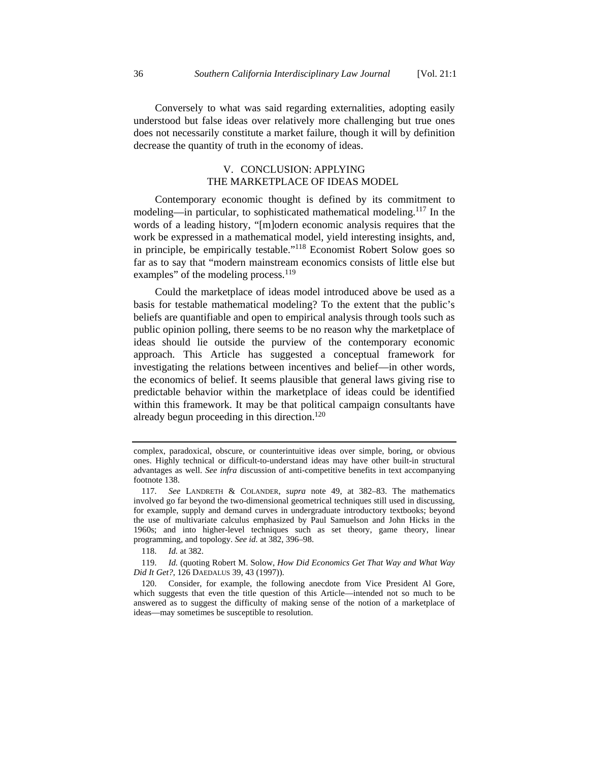Conversely to what was said regarding externalities, adopting easily understood but false ideas over relatively more challenging but true ones does not necessarily constitute a market failure, though it will by definition decrease the quantity of truth in the economy of ideas.

## V. CONCLUSION: APPLYING THE MARKETPLACE OF IDEAS MODEL

Contemporary economic thought is defined by its commitment to modeling—in particular, to sophisticated mathematical modeling.<sup>117</sup> In the words of a leading history, "[m]odern economic analysis requires that the work be expressed in a mathematical model, yield interesting insights, and, in principle, be empirically testable."118 Economist Robert Solow goes so far as to say that "modern mainstream economics consists of little else but examples" of the modeling process.<sup>119</sup>

Could the marketplace of ideas model introduced above be used as a basis for testable mathematical modeling? To the extent that the public's beliefs are quantifiable and open to empirical analysis through tools such as public opinion polling, there seems to be no reason why the marketplace of ideas should lie outside the purview of the contemporary economic approach. This Article has suggested a conceptual framework for investigating the relations between incentives and belief—in other words, the economics of belief. It seems plausible that general laws giving rise to predictable behavior within the marketplace of ideas could be identified within this framework. It may be that political campaign consultants have already begun proceeding in this direction.<sup>120</sup>

118. *Id.* at 382.

 119. *Id.* (quoting Robert M. Solow, *How Did Economics Get That Way and What Way Did It Get?*, 126 DAEDALUS 39, 43 (1997)).

complex, paradoxical, obscure, or counterintuitive ideas over simple, boring, or obvious ones. Highly technical or difficult-to-understand ideas may have other built-in structural advantages as well. *See infra* discussion of anti-competitive benefits in text accompanying footnote 138.

 <sup>117.</sup> *See* LANDRETH & COLANDER, *supra* note 49, at 382–83. The mathematics involved go far beyond the two-dimensional geometrical techniques still used in discussing, for example, supply and demand curves in undergraduate introductory textbooks; beyond the use of multivariate calculus emphasized by Paul Samuelson and John Hicks in the 1960s; and into higher-level techniques such as set theory, game theory, linear programming, and topology. *See id.* at 382, 396–98.

 <sup>120.</sup> Consider, for example, the following anecdote from Vice President Al Gore, which suggests that even the title question of this Article—intended not so much to be answered as to suggest the difficulty of making sense of the notion of a marketplace of ideas—may sometimes be susceptible to resolution.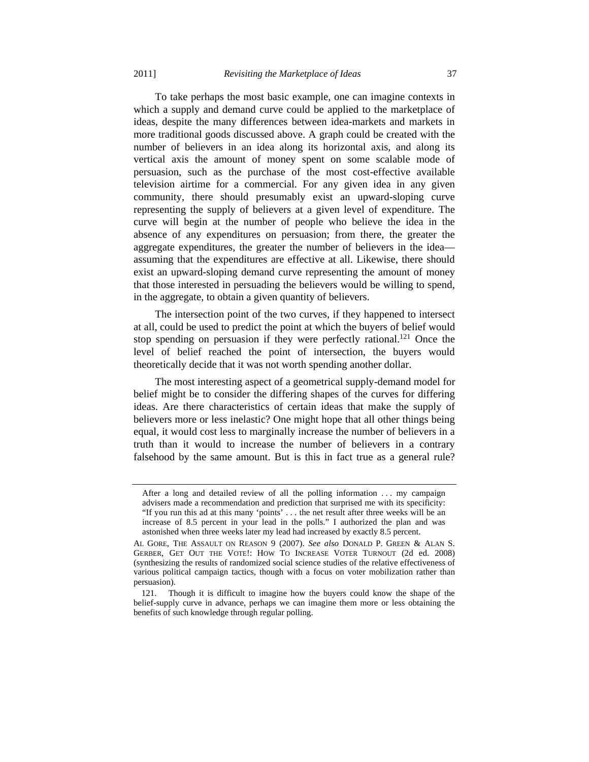To take perhaps the most basic example, one can imagine contexts in which a supply and demand curve could be applied to the marketplace of ideas, despite the many differences between idea-markets and markets in more traditional goods discussed above. A graph could be created with the number of believers in an idea along its horizontal axis, and along its vertical axis the amount of money spent on some scalable mode of persuasion, such as the purchase of the most cost-effective available television airtime for a commercial. For any given idea in any given community, there should presumably exist an upward-sloping curve representing the supply of believers at a given level of expenditure. The curve will begin at the number of people who believe the idea in the absence of any expenditures on persuasion; from there, the greater the aggregate expenditures, the greater the number of believers in the idea assuming that the expenditures are effective at all. Likewise, there should

exist an upward-sloping demand curve representing the amount of money that those interested in persuading the believers would be willing to spend, in the aggregate, to obtain a given quantity of believers. The intersection point of the two curves, if they happened to intersect

at all, could be used to predict the point at which the buyers of belief would stop spending on persuasion if they were perfectly rational.<sup>121</sup> Once the level of belief reached the point of intersection, the buyers would theoretically decide that it was not worth spending another dollar.

The most interesting aspect of a geometrical supply-demand model for belief might be to consider the differing shapes of the curves for differing ideas. Are there characteristics of certain ideas that make the supply of believers more or less inelastic? One might hope that all other things being equal, it would cost less to marginally increase the number of believers in a truth than it would to increase the number of believers in a contrary falsehood by the same amount. But is this in fact true as a general rule?

After a long and detailed review of all the polling information ... my campaign advisers made a recommendation and prediction that surprised me with its specificity: "If you run this ad at this many 'points' . . . the net result after three weeks will be an increase of 8.5 percent in your lead in the polls." I authorized the plan and was astonished when three weeks later my lead had increased by exactly 8.5 percent.

AL GORE, THE ASSAULT ON REASON 9 (2007). *See also* DONALD P. GREEN & ALAN S. GERBER, GET OUT THE VOTE!: HOW TO INCREASE VOTER TURNOUT (2d ed. 2008) (synthesizing the results of randomized social science studies of the relative effectiveness of various political campaign tactics, though with a focus on voter mobilization rather than persuasion).

 <sup>121.</sup> Though it is difficult to imagine how the buyers could know the shape of the belief-supply curve in advance, perhaps we can imagine them more or less obtaining the benefits of such knowledge through regular polling.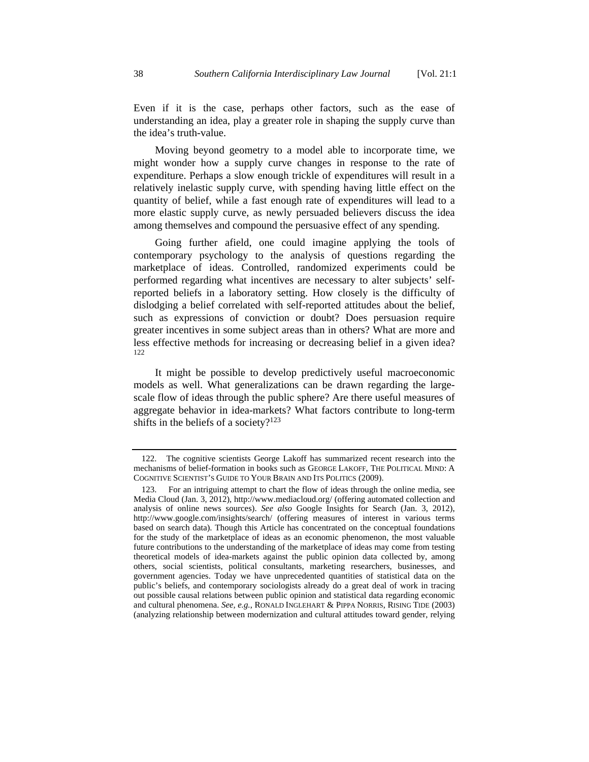Even if it is the case, perhaps other factors, such as the ease of understanding an idea, play a greater role in shaping the supply curve than the idea's truth-value.

Moving beyond geometry to a model able to incorporate time, we might wonder how a supply curve changes in response to the rate of expenditure. Perhaps a slow enough trickle of expenditures will result in a relatively inelastic supply curve, with spending having little effect on the quantity of belief, while a fast enough rate of expenditures will lead to a more elastic supply curve, as newly persuaded believers discuss the idea among themselves and compound the persuasive effect of any spending.

Going further afield, one could imagine applying the tools of contemporary psychology to the analysis of questions regarding the marketplace of ideas. Controlled, randomized experiments could be performed regarding what incentives are necessary to alter subjects' selfreported beliefs in a laboratory setting. How closely is the difficulty of dislodging a belief correlated with self-reported attitudes about the belief, such as expressions of conviction or doubt? Does persuasion require greater incentives in some subject areas than in others? What are more and less effective methods for increasing or decreasing belief in a given idea? 122

It might be possible to develop predictively useful macroeconomic models as well. What generalizations can be drawn regarding the largescale flow of ideas through the public sphere? Are there useful measures of aggregate behavior in idea-markets? What factors contribute to long-term shifts in the beliefs of a society? $123$ 

 <sup>122.</sup> The cognitive scientists George Lakoff has summarized recent research into the mechanisms of belief-formation in books such as GEORGE LAKOFF, THE POLITICAL MIND: A COGNITIVE SCIENTIST'S GUIDE TO YOUR BRAIN AND ITS POLITICS (2009).

 <sup>123.</sup> For an intriguing attempt to chart the flow of ideas through the online media, see Media Cloud (Jan. 3, 2012), http://www.mediacloud.org/ (offering automated collection and analysis of online news sources). *See also* Google Insights for Search (Jan. 3, 2012), http://www.google.com/insights/search/ (offering measures of interest in various terms based on search data). Though this Article has concentrated on the conceptual foundations for the study of the marketplace of ideas as an economic phenomenon, the most valuable future contributions to the understanding of the marketplace of ideas may come from testing theoretical models of idea-markets against the public opinion data collected by, among others, social scientists, political consultants, marketing researchers, businesses, and government agencies. Today we have unprecedented quantities of statistical data on the public's beliefs, and contemporary sociologists already do a great deal of work in tracing out possible causal relations between public opinion and statistical data regarding economic and cultural phenomena. *See, e.g.*, RONALD INGLEHART & PIPPA NORRIS, RISING TIDE (2003) (analyzing relationship between modernization and cultural attitudes toward gender, relying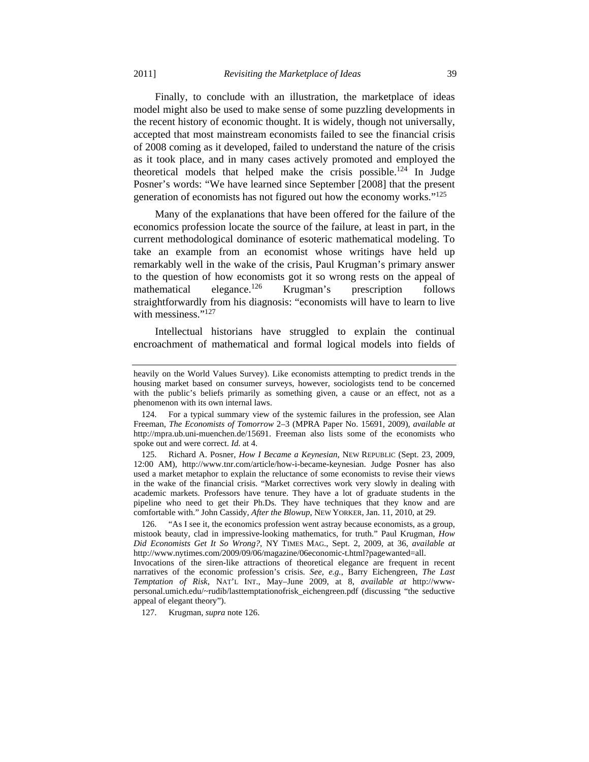Finally, to conclude with an illustration, the marketplace of ideas model might also be used to make sense of some puzzling developments in the recent history of economic thought. It is widely, though not universally, accepted that most mainstream economists failed to see the financial crisis of 2008 coming as it developed, failed to understand the nature of the crisis as it took place, and in many cases actively promoted and employed the theoretical models that helped make the crisis possible.124 In Judge Posner's words: "We have learned since September [2008] that the present generation of economists has not figured out how the economy works."125

Many of the explanations that have been offered for the failure of the economics profession locate the source of the failure, at least in part, in the current methodological dominance of esoteric mathematical modeling. To take an example from an economist whose writings have held up remarkably well in the wake of the crisis, Paul Krugman's primary answer to the question of how economists got it so wrong rests on the appeal of mathematical elegance.<sup>126</sup> Krugman's prescription follows straightforwardly from his diagnosis: "economists will have to learn to live with messiness."<sup>127</sup>

Intellectual historians have struggled to explain the continual encroachment of mathematical and formal logical models into fields of

127. Krugman, *supra* note 126.

heavily on the World Values Survey). Like economists attempting to predict trends in the housing market based on consumer surveys, however, sociologists tend to be concerned with the public's beliefs primarily as something given, a cause or an effect, not as a phenomenon with its own internal laws.

 <sup>124.</sup> For a typical summary view of the systemic failures in the profession, see Alan Freeman, *The Economists of Tomorrow* 2–3 (MPRA Paper No. 15691, 2009), *available at* http://mpra.ub.uni-muenchen.de/15691. Freeman also lists some of the economists who spoke out and were correct. *Id.* at 4.

 <sup>125.</sup> Richard A. Posner, *How I Became a Keynesian*, NEW REPUBLIC (Sept. 23, 2009, 12:00 AM), http://www.tnr.com/article/how-i-became-keynesian. Judge Posner has also used a market metaphor to explain the reluctance of some economists to revise their views in the wake of the financial crisis. "Market correctives work very slowly in dealing with academic markets. Professors have tenure. They have a lot of graduate students in the pipeline who need to get their Ph.Ds. They have techniques that they know and are comfortable with." John Cassidy, *After the Blowup*, NEW YORKER, Jan. 11, 2010, at 29.

 <sup>126. &</sup>quot;As I see it, the economics profession went astray because economists, as a group, mistook beauty, clad in impressive-looking mathematics, for truth." Paul Krugman, *How Did Economists Get It So Wrong?*, NY TIMES MAG., Sept. 2, 2009, at 36, *available at* http://www.nytimes.com/2009/09/06/magazine/06economic-t.html?pagewanted=all.

Invocations of the siren-like attractions of theoretical elegance are frequent in recent narratives of the economic profession's crisis. *See, e.g.*, Barry Eichengreen, *The Last Temptation of Risk*, NAT'L INT., May–June 2009, at 8, *available at* http://wwwpersonal.umich.edu/~rudib/lasttemptationofrisk\_eichengreen.pdf (discussing "the seductive appeal of elegant theory").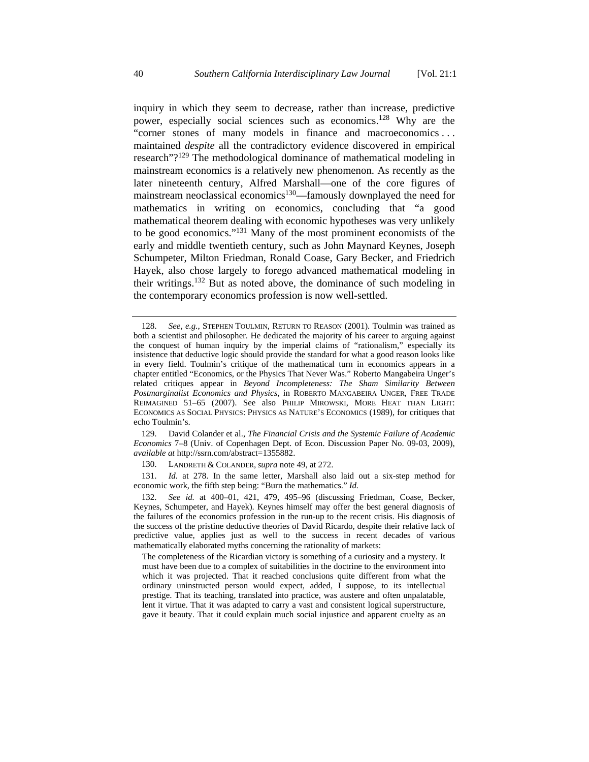inquiry in which they seem to decrease, rather than increase, predictive power, especially social sciences such as economics.<sup>128</sup> Why are the "corner stones of many models in finance and macroeconomics . . . maintained *despite* all the contradictory evidence discovered in empirical research"?129 The methodological dominance of mathematical modeling in mainstream economics is a relatively new phenomenon. As recently as the later nineteenth century, Alfred Marshall—one of the core figures of mainstream neoclassical economics<sup>130</sup>—famously downplayed the need for mathematics in writing on economics, concluding that "a good mathematical theorem dealing with economic hypotheses was very unlikely to be good economics."131 Many of the most prominent economists of the early and middle twentieth century, such as John Maynard Keynes, Joseph Schumpeter, Milton Friedman, Ronald Coase, Gary Becker, and Friedrich Hayek, also chose largely to forego advanced mathematical modeling in their writings.132 But as noted above, the dominance of such modeling in the contemporary economics profession is now well-settled.

 129. David Colander et al., *The Financial Crisis and the Systemic Failure of Academic Economics* 7–8 (Univ. of Copenhagen Dept. of Econ. Discussion Paper No. 09-03, 2009), *available at* http://ssrn.com/abstract=1355882.

130. LANDRETH & COLANDER, *supra* note 49, at 272.

 131. *Id.* at 278. In the same letter, Marshall also laid out a six-step method for economic work, the fifth step being: "Burn the mathematics." *Id.* 

 132. *See id.* at 400–01, 421, 479, 495–96 (discussing Friedman, Coase, Becker, Keynes, Schumpeter, and Hayek). Keynes himself may offer the best general diagnosis of the failures of the economics profession in the run-up to the recent crisis. His diagnosis of the success of the pristine deductive theories of David Ricardo, despite their relative lack of predictive value, applies just as well to the success in recent decades of various mathematically elaborated myths concerning the rationality of markets:

The completeness of the Ricardian victory is something of a curiosity and a mystery. It must have been due to a complex of suitabilities in the doctrine to the environment into which it was projected. That it reached conclusions quite different from what the ordinary uninstructed person would expect, added, I suppose, to its intellectual prestige. That its teaching, translated into practice, was austere and often unpalatable, lent it virtue. That it was adapted to carry a vast and consistent logical superstructure, gave it beauty. That it could explain much social injustice and apparent cruelty as an

 <sup>128.</sup> *See, e.g.*, STEPHEN TOULMIN, RETURN TO REASON (2001). Toulmin was trained as both a scientist and philosopher. He dedicated the majority of his career to arguing against the conquest of human inquiry by the imperial claims of "rationalism," especially its insistence that deductive logic should provide the standard for what a good reason looks like in every field. Toulmin's critique of the mathematical turn in economics appears in a chapter entitled "Economics, or the Physics That Never Was." Roberto Mangabeira Unger's related critiques appear in *Beyond Incompleteness: The Sham Similarity Between Postmarginalist Economics and Physics*, in ROBERTO MANGABEIRA UNGER, FREE TRADE REIMAGINED 51–65 (2007). See also PHILIP MIROWSKI, MORE HEAT THAN LIGHT: ECONOMICS AS SOCIAL PHYSICS: PHYSICS AS NATURE'S ECONOMICS (1989), for critiques that echo Toulmin's.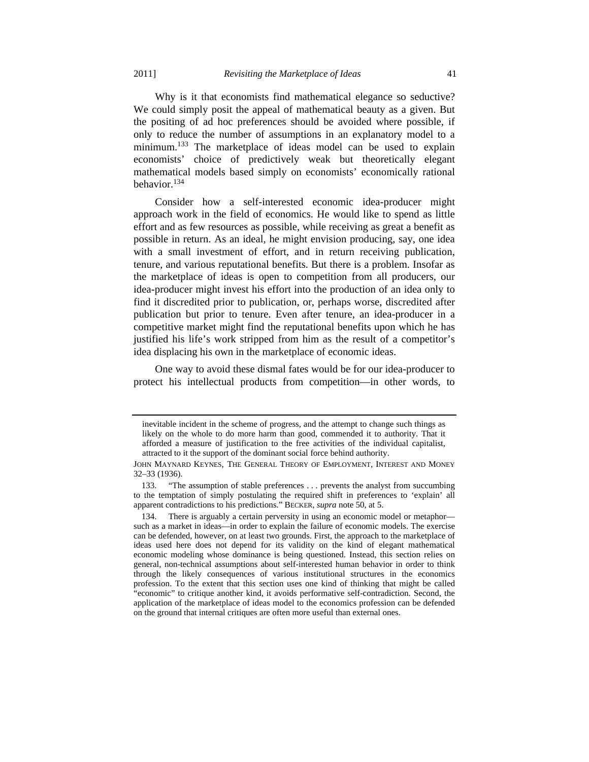Why is it that economists find mathematical elegance so seductive? We could simply posit the appeal of mathematical beauty as a given. But the positing of ad hoc preferences should be avoided where possible, if only to reduce the number of assumptions in an explanatory model to a minimum.<sup>133</sup> The marketplace of ideas model can be used to explain economists' choice of predictively weak but theoretically elegant mathematical models based simply on economists' economically rational behavior.134

Consider how a self-interested economic idea-producer might approach work in the field of economics. He would like to spend as little effort and as few resources as possible, while receiving as great a benefit as possible in return. As an ideal, he might envision producing, say, one idea with a small investment of effort, and in return receiving publication, tenure, and various reputational benefits. But there is a problem. Insofar as the marketplace of ideas is open to competition from all producers, our idea-producer might invest his effort into the production of an idea only to find it discredited prior to publication, or, perhaps worse, discredited after publication but prior to tenure. Even after tenure, an idea-producer in a competitive market might find the reputational benefits upon which he has justified his life's work stripped from him as the result of a competitor's idea displacing his own in the marketplace of economic ideas.

One way to avoid these dismal fates would be for our idea-producer to protect his intellectual products from competition—in other words, to

inevitable incident in the scheme of progress, and the attempt to change such things as likely on the whole to do more harm than good, commended it to authority. That it afforded a measure of justification to the free activities of the individual capitalist, attracted to it the support of the dominant social force behind authority.

JOHN MAYNARD KEYNES, THE GENERAL THEORY OF EMPLOYMENT, INTEREST AND MONEY 32–33 (1936).

 <sup>133. &</sup>quot;The assumption of stable preferences . . . prevents the analyst from succumbing to the temptation of simply postulating the required shift in preferences to 'explain' all apparent contradictions to his predictions." BECKER, *supra* note 50, at 5.

 <sup>134.</sup> There is arguably a certain perversity in using an economic model or metaphor such as a market in ideas—in order to explain the failure of economic models. The exercise can be defended, however, on at least two grounds. First, the approach to the marketplace of ideas used here does not depend for its validity on the kind of elegant mathematical economic modeling whose dominance is being questioned. Instead, this section relies on general, non-technical assumptions about self-interested human behavior in order to think through the likely consequences of various institutional structures in the economics profession. To the extent that this section uses one kind of thinking that might be called "economic" to critique another kind, it avoids performative self-contradiction. Second, the application of the marketplace of ideas model to the economics profession can be defended on the ground that internal critiques are often more useful than external ones.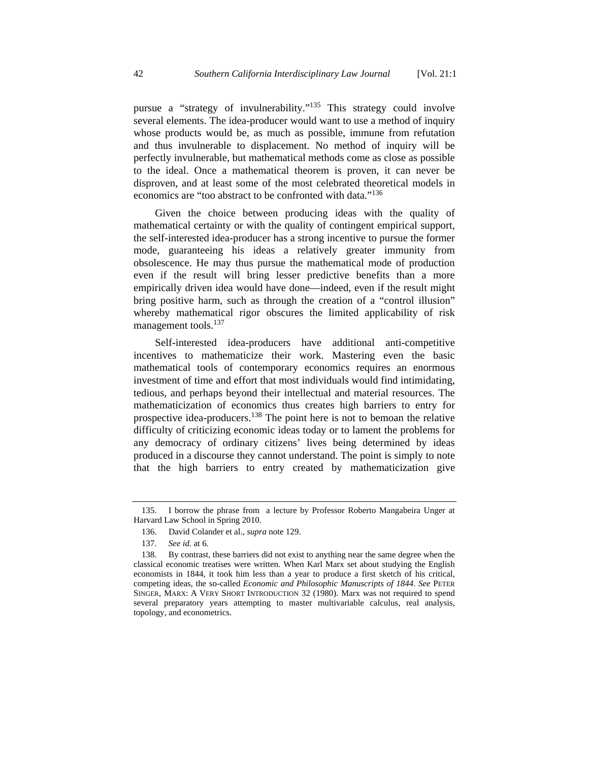pursue a "strategy of invulnerability."135 This strategy could involve several elements. The idea-producer would want to use a method of inquiry whose products would be, as much as possible, immune from refutation and thus invulnerable to displacement. No method of inquiry will be perfectly invulnerable, but mathematical methods come as close as possible to the ideal. Once a mathematical theorem is proven, it can never be disproven, and at least some of the most celebrated theoretical models in economics are "too abstract to be confronted with data."136

Given the choice between producing ideas with the quality of mathematical certainty or with the quality of contingent empirical support, the self-interested idea-producer has a strong incentive to pursue the former mode, guaranteeing his ideas a relatively greater immunity from obsolescence. He may thus pursue the mathematical mode of production even if the result will bring lesser predictive benefits than a more empirically driven idea would have done—indeed, even if the result might bring positive harm, such as through the creation of a "control illusion" whereby mathematical rigor obscures the limited applicability of risk management tools.<sup>137</sup>

Self-interested idea-producers have additional anti-competitive incentives to mathematicize their work. Mastering even the basic mathematical tools of contemporary economics requires an enormous investment of time and effort that most individuals would find intimidating, tedious, and perhaps beyond their intellectual and material resources. The mathematicization of economics thus creates high barriers to entry for prospective idea-producers.<sup>138</sup> The point here is not to bemoan the relative difficulty of criticizing economic ideas today or to lament the problems for any democracy of ordinary citizens' lives being determined by ideas produced in a discourse they cannot understand. The point is simply to note that the high barriers to entry created by mathematicization give

 <sup>135.</sup> I borrow the phrase from a lecture by Professor Roberto Mangabeira Unger at Harvard Law School in Spring 2010.

 <sup>136.</sup> David Colander et al., *supra* note 129.

 <sup>137.</sup> *See id.* at 6.

 <sup>138.</sup> By contrast, these barriers did not exist to anything near the same degree when the classical economic treatises were written. When Karl Marx set about studying the English economists in 1844, it took him less than a year to produce a first sketch of his critical, competing ideas, the so-called *Economic and Philosophic Manuscripts of 1844*. *See* PETER SINGER, MARX: A VERY SHORT INTRODUCTION 32 (1980). Marx was not required to spend several preparatory years attempting to master multivariable calculus, real analysis, topology, and econometrics.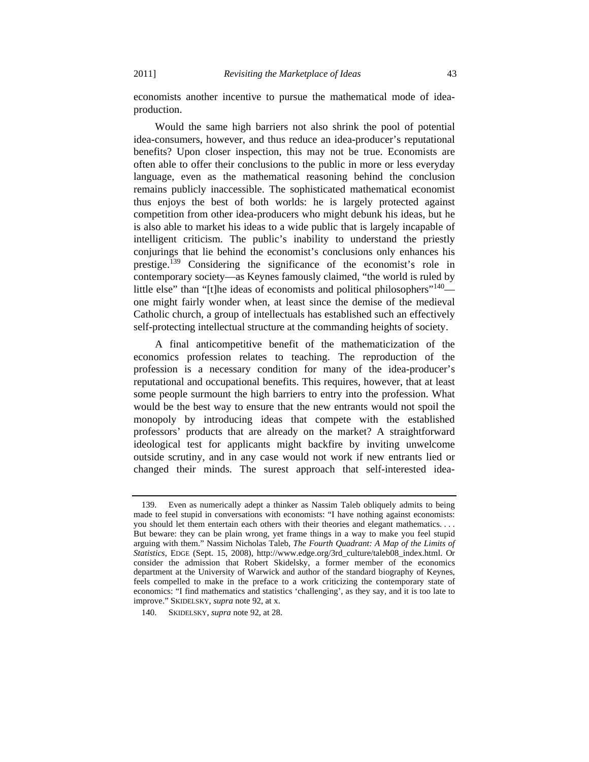economists another incentive to pursue the mathematical mode of ideaproduction.

Would the same high barriers not also shrink the pool of potential idea-consumers, however, and thus reduce an idea-producer's reputational benefits? Upon closer inspection, this may not be true. Economists are often able to offer their conclusions to the public in more or less everyday language, even as the mathematical reasoning behind the conclusion remains publicly inaccessible. The sophisticated mathematical economist thus enjoys the best of both worlds: he is largely protected against competition from other idea-producers who might debunk his ideas, but he is also able to market his ideas to a wide public that is largely incapable of intelligent criticism. The public's inability to understand the priestly conjurings that lie behind the economist's conclusions only enhances his prestige.139 Considering the significance of the economist's role in contemporary society—as Keynes famously claimed, "the world is ruled by little else" than "[t]he ideas of economists and political philosophers"<sup>140</sup> one might fairly wonder when, at least since the demise of the medieval Catholic church, a group of intellectuals has established such an effectively self-protecting intellectual structure at the commanding heights of society.

A final anticompetitive benefit of the mathematicization of the economics profession relates to teaching. The reproduction of the profession is a necessary condition for many of the idea-producer's reputational and occupational benefits. This requires, however, that at least some people surmount the high barriers to entry into the profession. What would be the best way to ensure that the new entrants would not spoil the monopoly by introducing ideas that compete with the established professors' products that are already on the market? A straightforward ideological test for applicants might backfire by inviting unwelcome outside scrutiny, and in any case would not work if new entrants lied or changed their minds. The surest approach that self-interested idea-

 <sup>139.</sup> Even as numerically adept a thinker as Nassim Taleb obliquely admits to being made to feel stupid in conversations with economists: "I have nothing against economists: you should let them entertain each others with their theories and elegant mathematics. . . . But beware: they can be plain wrong, yet frame things in a way to make you feel stupid arguing with them." Nassim Nicholas Taleb, *The Fourth Quadrant: A Map of the Limits of Statistics*, EDGE (Sept. 15, 2008), http://www.edge.org/3rd\_culture/taleb08\_index.html. Or consider the admission that Robert Skidelsky, a former member of the economics department at the University of Warwick and author of the standard biography of Keynes, feels compelled to make in the preface to a work criticizing the contemporary state of economics: "I find mathematics and statistics 'challenging', as they say, and it is too late to improve." SKIDELSKY, *supra* note 92, at x.

 <sup>140.</sup> SKIDELSKY, *supra* note 92, at 28.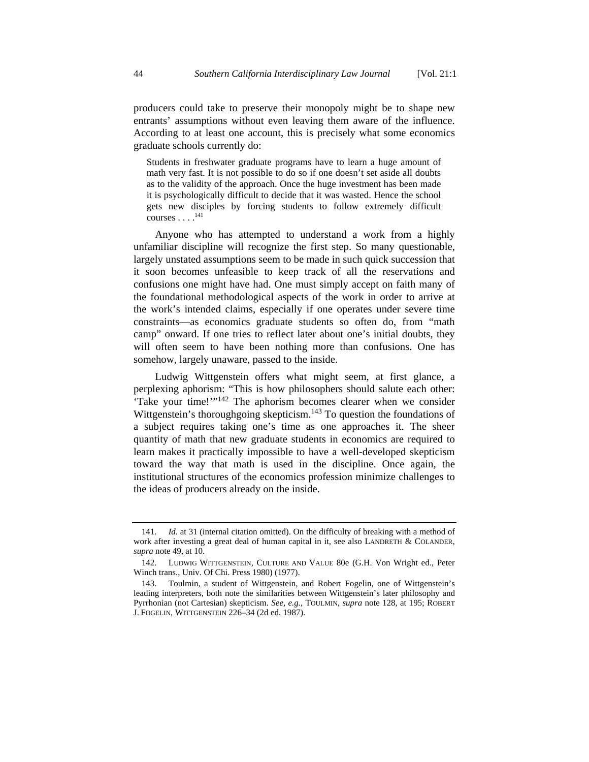producers could take to preserve their monopoly might be to shape new entrants' assumptions without even leaving them aware of the influence. According to at least one account, this is precisely what some economics graduate schools currently do:

Students in freshwater graduate programs have to learn a huge amount of math very fast. It is not possible to do so if one doesn't set aside all doubts as to the validity of the approach. Once the huge investment has been made it is psychologically difficult to decide that it was wasted. Hence the school gets new disciples by forcing students to follow extremely difficult  $courses \dots$ .<sup>141</sup>

Anyone who has attempted to understand a work from a highly unfamiliar discipline will recognize the first step. So many questionable, largely unstated assumptions seem to be made in such quick succession that it soon becomes unfeasible to keep track of all the reservations and confusions one might have had. One must simply accept on faith many of the foundational methodological aspects of the work in order to arrive at the work's intended claims, especially if one operates under severe time constraints—as economics graduate students so often do, from "math camp" onward. If one tries to reflect later about one's initial doubts, they will often seem to have been nothing more than confusions. One has somehow, largely unaware, passed to the inside.

Ludwig Wittgenstein offers what might seem, at first glance, a perplexing aphorism: "This is how philosophers should salute each other: Take your time!"<sup>142</sup> The aphorism becomes clearer when we consider Wittgenstein's thoroughgoing skepticism.<sup>143</sup> To question the foundations of a subject requires taking one's time as one approaches it. The sheer quantity of math that new graduate students in economics are required to learn makes it practically impossible to have a well-developed skepticism toward the way that math is used in the discipline. Once again, the institutional structures of the economics profession minimize challenges to the ideas of producers already on the inside.

 <sup>141.</sup> *Id.* at 31 (internal citation omitted). On the difficulty of breaking with a method of work after investing a great deal of human capital in it, see also LANDRETH & COLANDER, *supra* note 49, at 10.

 <sup>142.</sup> LUDWIG WITTGENSTEIN, CULTURE AND VALUE 80e (G.H. Von Wright ed., Peter Winch trans., Univ. Of Chi. Press 1980) (1977).

 <sup>143.</sup> Toulmin, a student of Wittgenstein, and Robert Fogelin, one of Wittgenstein's leading interpreters, both note the similarities between Wittgenstein's later philosophy and Pyrrhonian (not Cartesian) skepticism. *See, e.g.*, TOULMIN, *supra* note 128, at 195; ROBERT J. FOGELIN, WITTGENSTEIN 226–34 (2d ed. 1987).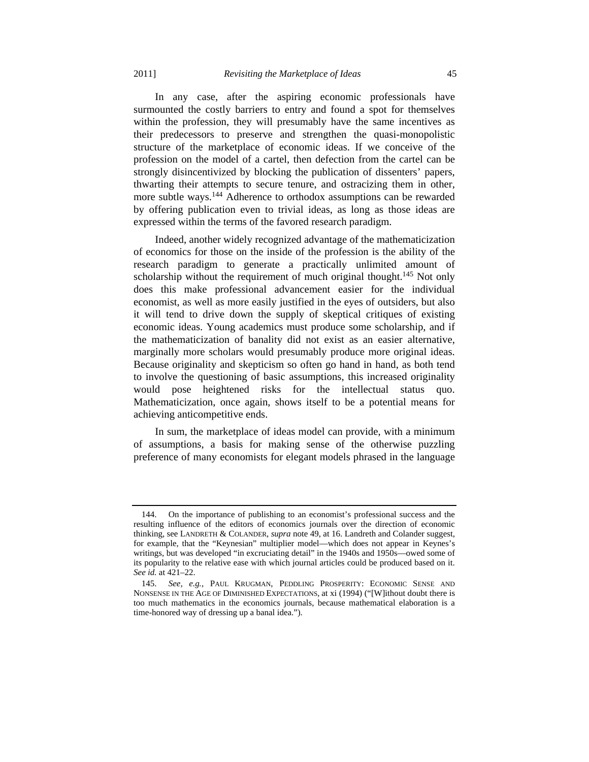In any case, after the aspiring economic professionals have surmounted the costly barriers to entry and found a spot for themselves within the profession, they will presumably have the same incentives as their predecessors to preserve and strengthen the quasi-monopolistic structure of the marketplace of economic ideas. If we conceive of the profession on the model of a cartel, then defection from the cartel can be strongly disincentivized by blocking the publication of dissenters' papers, thwarting their attempts to secure tenure, and ostracizing them in other, more subtle ways.<sup>144</sup> Adherence to orthodox assumptions can be rewarded by offering publication even to trivial ideas, as long as those ideas are

expressed within the terms of the favored research paradigm.

Indeed, another widely recognized advantage of the mathematicization of economics for those on the inside of the profession is the ability of the research paradigm to generate a practically unlimited amount of scholarship without the requirement of much original thought.<sup>145</sup> Not only does this make professional advancement easier for the individual economist, as well as more easily justified in the eyes of outsiders, but also it will tend to drive down the supply of skeptical critiques of existing economic ideas. Young academics must produce some scholarship, and if the mathematicization of banality did not exist as an easier alternative, marginally more scholars would presumably produce more original ideas. Because originality and skepticism so often go hand in hand, as both tend to involve the questioning of basic assumptions, this increased originality would pose heightened risks for the intellectual status quo. Mathematicization, once again, shows itself to be a potential means for achieving anticompetitive ends.

In sum, the marketplace of ideas model can provide, with a minimum of assumptions, a basis for making sense of the otherwise puzzling preference of many economists for elegant models phrased in the language

 <sup>144.</sup> On the importance of publishing to an economist's professional success and the resulting influence of the editors of economics journals over the direction of economic thinking, see LANDRETH & COLANDER, *supra* note 49, at 16. Landreth and Colander suggest, for example, that the "Keynesian" multiplier model—which does not appear in Keynes's writings, but was developed "in excruciating detail" in the 1940s and 1950s—owed some of its popularity to the relative ease with which journal articles could be produced based on it. *See id.* at 421–22.

 <sup>145.</sup> *See, e.g.*, PAUL KRUGMAN, PEDDLING PROSPERITY: ECONOMIC SENSE AND NONSENSE IN THE AGE OF DIMINISHED EXPECTATIONS, at xi (1994) ("[W]ithout doubt there is too much mathematics in the economics journals, because mathematical elaboration is a time-honored way of dressing up a banal idea.").